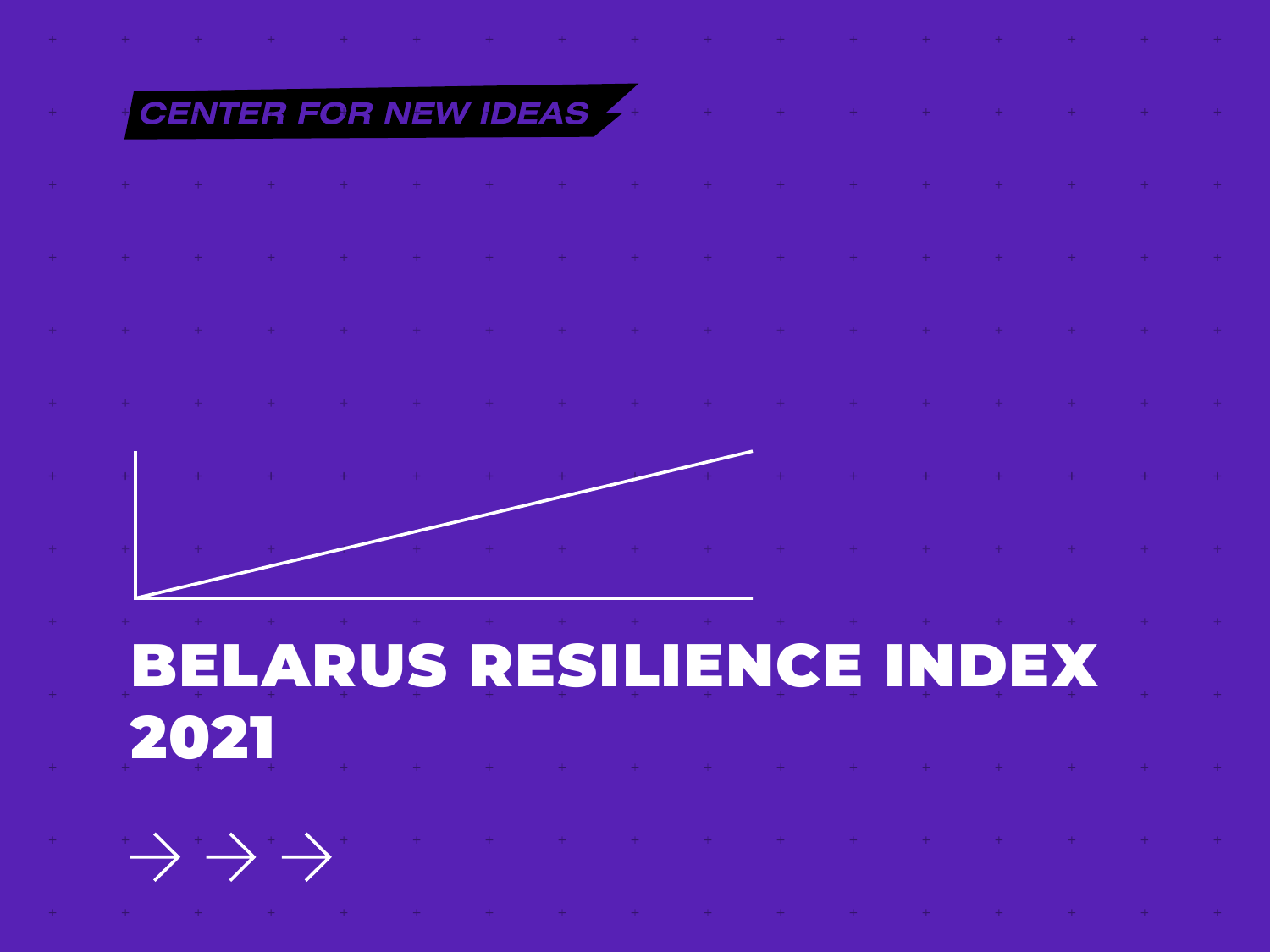# CENTER FOR NEW IDEAS

 $\alpha\rightarrow\alpha\gamma$  , where  $\alpha\rightarrow\alpha\gamma$ 

BELARUS RESILIENCE INDEX 2021

 $\rightarrow$   $\rightarrow$   $\rightarrow$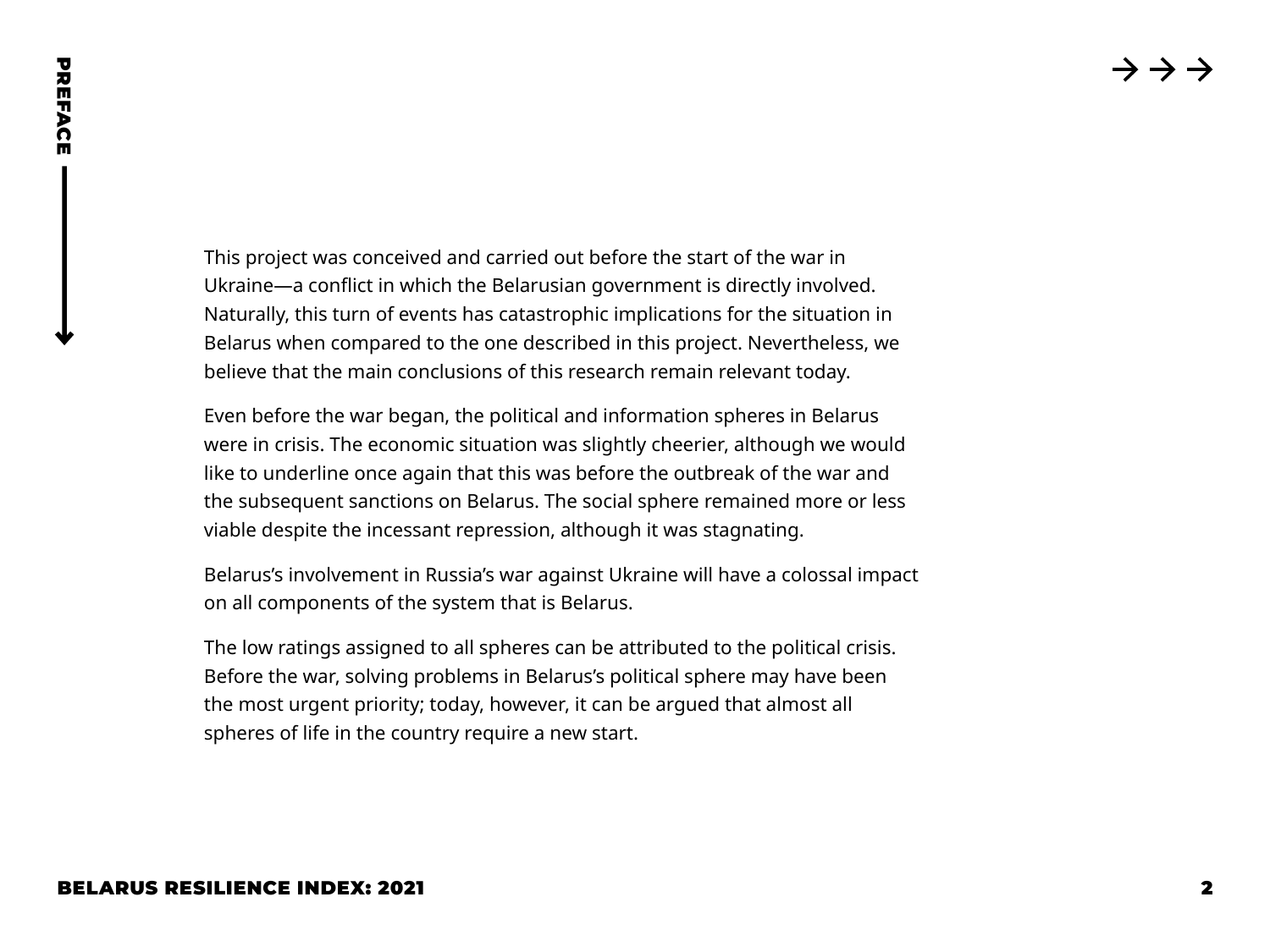This project was conceived and carried out before the start of the war in Ukraine—a conflict in which the Belarusian government is directly involved. Naturally, this turn of events has catastrophic implications for the situation in Belarus when compared to the one described in this project. Nevertheless, we believe that the main conclusions of this research remain relevant today.

BELARUS RESILIENCE INDEX: 2021 <sup>2</sup> PREFACE Even before the war began, the political and information spheres in Belarus were in crisis. The economic situation was slightly cheerier, although we would like to underline once again that this was before the outbreak of the war and the subsequent sanctions on Belarus. The social sphere remained more or less viable despite the incessant repression, although it was stagnating.

Belarus's involvement in Russia's war against Ukraine will have a colossal impact on all components of the system that is Belarus.

The low ratings assigned to all spheres can be attributed to the political crisis. Before the war, solving problems in Belarus's political sphere may have been the most urgent priority; today, however, it can be argued that almost all spheres of life in the country require a new start.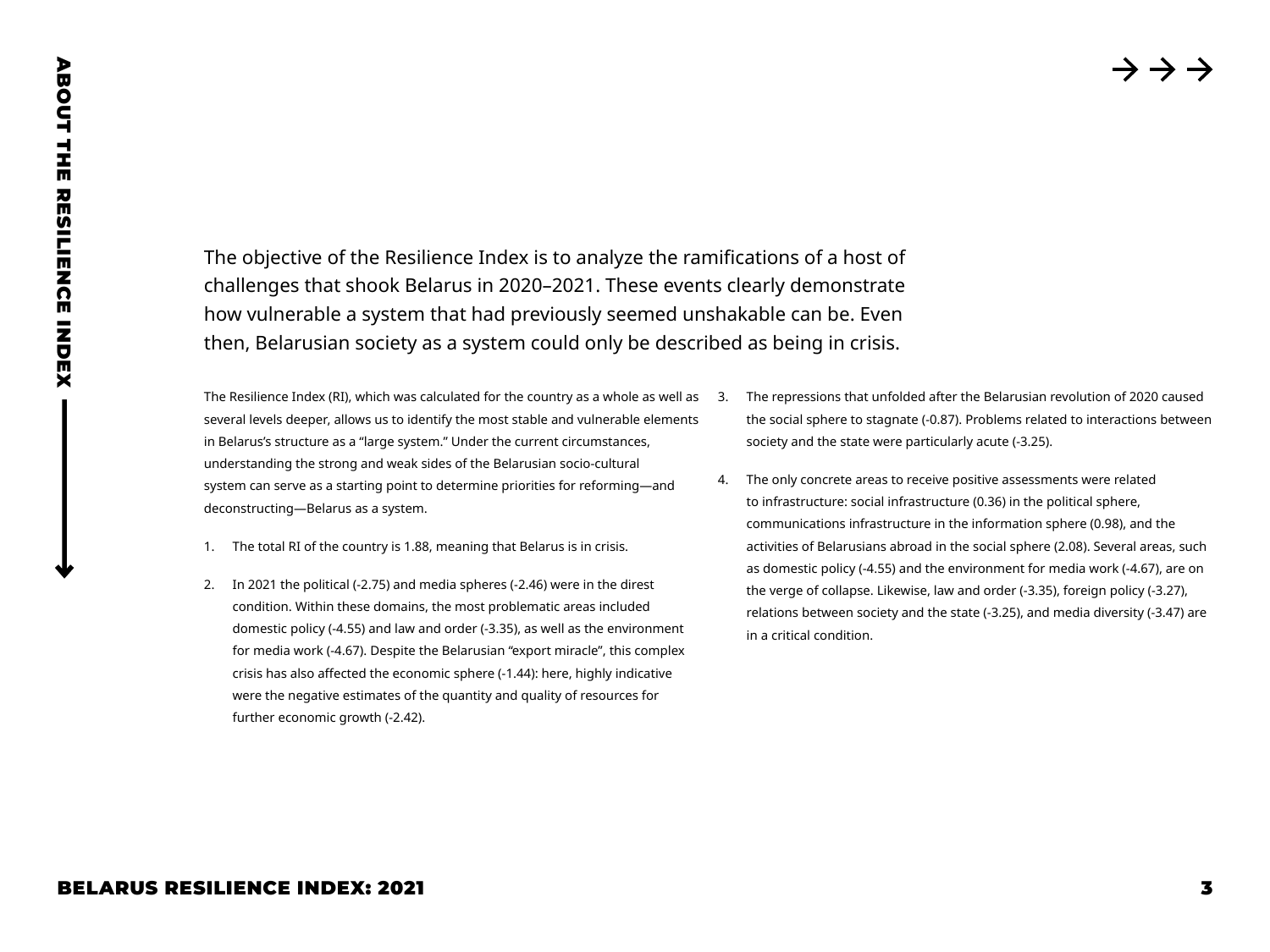The objective of the Resilience Index is to analyze the ramifications of a host of challenges that shook Belarus in 2020–2021. These events clearly demonstrate how vulnerable a system that had previously seemed unshakable can be. Even then, Belarusian society as a system could only be described as being in crisis.

The Resilience Index (RI), which was calculated for the country as a whole as well as 3. several levels deeper, allows us to identify the most stable and vulnerable elements in Belarus's structure as a "large system." Under the current circumstances, understanding the strong and weak sides of the Belarusian socio-cultural system can serve as a starting point to determine priorities for reforming—and deconstructing—Belarus as a system.

- 1. The total RI of the country is 1.88, meaning that Belarus is in crisis.
- 2. In 2021 the political (-2.75) and media spheres (-2.46) were in the direst condition. Within these domains, the most problematic areas included domestic policy (-4.55) and law and order (-3.35), as well as the environment for media work (-4.67). Despite the Belarusian "export miracle", this complex crisis has also affected the economic sphere (-1.44): here, highly indicative were the negative estimates of the quantity and quality of resources for further economic growth (-2.42).
- 3. The repressions that unfolded after the Belarusian revolution of 2020 caused the social sphere to stagnate (-0.87). Problems related to interactions between society and the state were particularly acute (-3.25).
- BELARUS RESILIENCE INDEX: 2021<br>
BELARUS RESILIENCE INDEX: 2021<br>
BELARUS RESILIENCE INDEX: 2021<br>
BELARUS RESILIENCE INDEX: 2021<br>
BELARUS RESILIENCE INDEX: 2021<br>
BELARUS RESILIENCE INDEX: 2021<br>
BELARUS RESILIENCE INDEX: 202 4. The only concrete areas to receive positive assessments were related to infrastructure: social infrastructure (0.36) in the political sphere, communications infrastructure in the information sphere (0.98), and the activities of Belarusians abroad in the social sphere (2.08). Several areas, such as domestic policy (-4.55) and the environment for media work (-4.67), are on the verge of collapse. Likewise, law and order (-3.35), foreign policy (-3.27), relations between society and the state (-3.25), and media diversity (-3.47) are in a critical condition.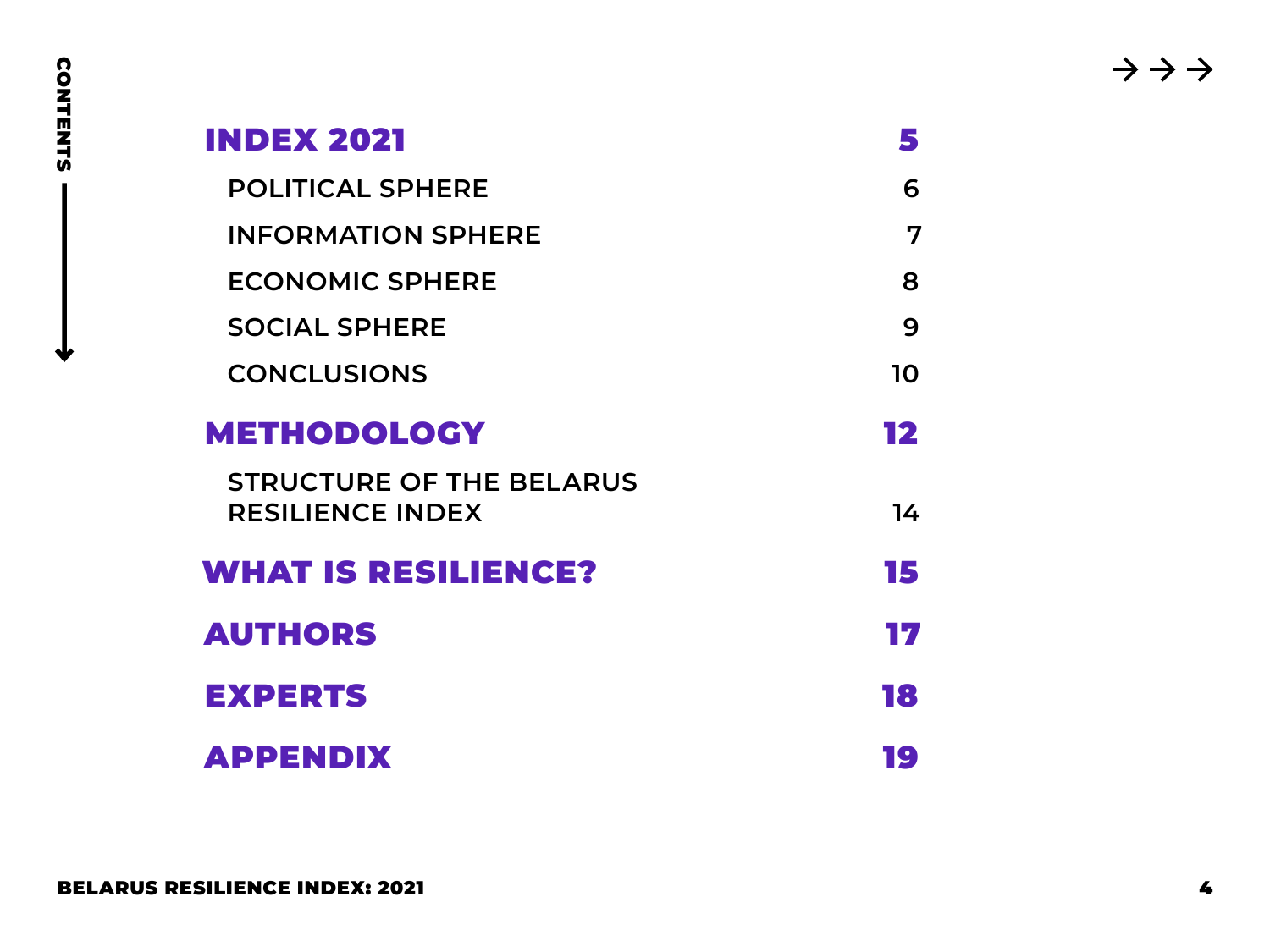| <b>INDEX 2021</b>                                          | 5              |
|------------------------------------------------------------|----------------|
| <b>POLITICAL SPHERE</b>                                    | 6              |
| <b>INFORMATION SPHERE</b>                                  | $\overline{7}$ |
| <b>ECONOMIC SPHERE</b>                                     | 8              |
| <b>SOCIAL SPHERE</b>                                       | 9              |
| <b>CONCLUSIONS</b>                                         | 10             |
| <b>METHODOLOGY</b>                                         | 12             |
| <b>STRUCTURE OF THE BELARUS</b><br><b>RESILIENCE INDEX</b> | 14             |
| <b>WHAT IS RESILIENCE?</b>                                 | 15             |
| <b>AUTHORS</b>                                             | 17             |
| <b>EXPERTS</b>                                             | 18             |
| <b>APPENDIX</b>                                            | 19             |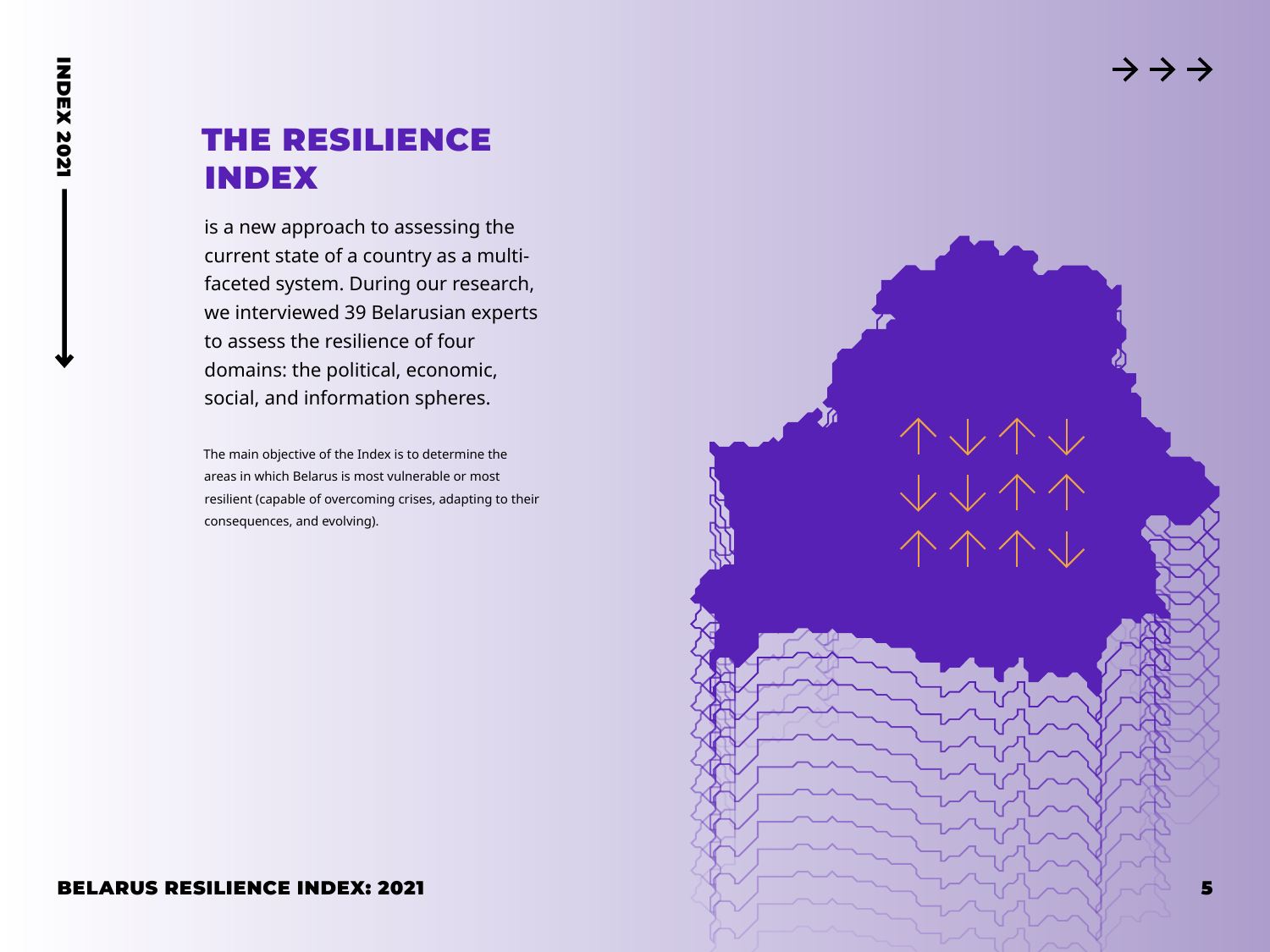# <span id="page-4-0"></span>THE RESILIENCE INDEX

is a new approach to assessing the current state of a country as a multifaceted system. During our research, we interviewed 39 Belarusian experts to assess the resilience of four domains: the political, economic, social, and information spheres.

The main objective of the Index is to determine the areas in which Belarus is most vulnerable or most resilient (capable of overcoming crises, adapting to their consequences, and evolving).

#### BELARUS RESILIENCE INDEX: 2021

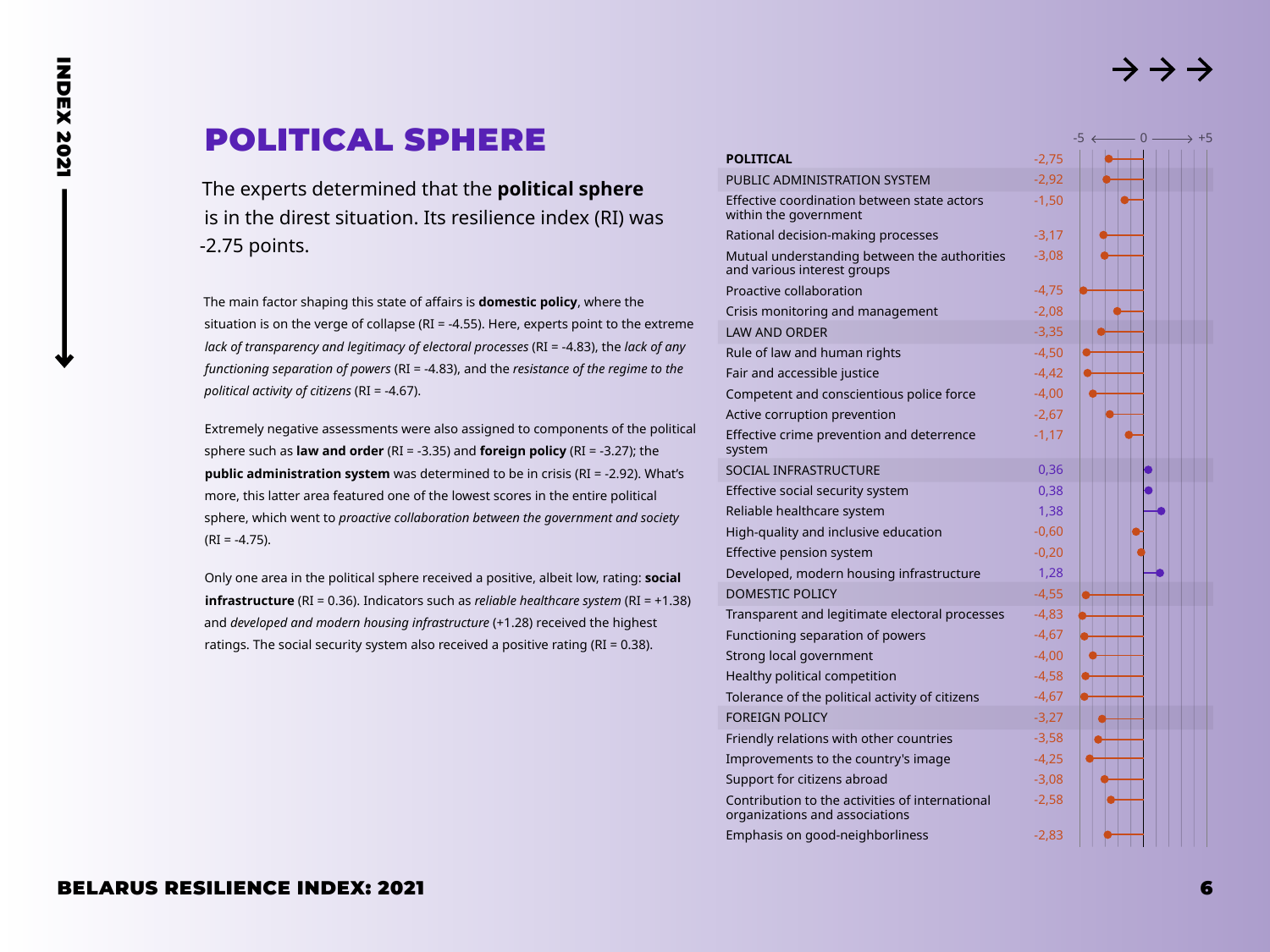0  $\longrightarrow$  +5

 $-5 \leftarrow$ 

# <span id="page-5-0"></span>POLITICAL SPHERE

The experts determined that the **political sphere** is in the direst situation. Its resilience index (RI) was -2.75 points.

The main factor shaping this state of affairs is **domestic policy**, where the situation is on the verge of collapse (RI = -4.55). Here, experts point to the extreme *lack of transparency and legitimacy of electoral processes* (RI = -4.83), the *lack of any functioning separation of powers* (RI = -4.83), and the *resistance of the regime to the political activity of citizens* (RI = -4.67).

Extremely negative assessments were also assigned to components of the political sphere such as **law and order** (RI = -3.35) and **foreign policy** (RI = -3.27); the **public administration system** was determined to be in crisis (RI = -2.92). What's more, this latter area featured one of the lowest scores in the entire political sphere, which went to *proactive collaboration between the government and society* (RI = -4.75).

Only one area in the political sphere received a positive, albeit low, rating: **social infrastructure** (RI = 0.36). Indicators such as *reliable healthcare system* (RI = +1.38) and *developed and modern housing infrastructure* (+1.28) received the highest ratings. The social security system also received a positive rating (RI = 0.38).

| $-2,75$                                                    |  |
|------------------------------------------------------------|--|
| -2,92                                                      |  |
| Effective coordination between state actors<br>$-1,50$     |  |
| $-3,17$                                                    |  |
| Mutual understanding between the authorities<br>$-3,08$    |  |
| $-4,75$                                                    |  |
| $-2,08$                                                    |  |
| -3.35                                                      |  |
| $-4,50$                                                    |  |
| $-4,42$                                                    |  |
| Competent and conscientious police force<br>$-4,00$        |  |
| $-2,67$                                                    |  |
| Effective crime prevention and deterrence<br>$-1,17$       |  |
| 0,36                                                       |  |
| 0,38                                                       |  |
| 1,38                                                       |  |
| $-0,60$                                                    |  |
| $-0,20$                                                    |  |
| Developed, modern housing infrastructure<br>1,28           |  |
| $-4,55$                                                    |  |
| Transparent and legitimate electoral processes<br>$-4.83$  |  |
| $-4,67$                                                    |  |
| $-4,00$                                                    |  |
| $-4,58$                                                    |  |
| Tolerance of the political activity of citizens<br>$-4,67$ |  |
| $-3,27$                                                    |  |
| $-3,58$                                                    |  |
| $-4.25$                                                    |  |
| $-3,08$                                                    |  |
| Contribution to the activities of international<br>$-2,58$ |  |
| $-2,83$                                                    |  |
|                                                            |  |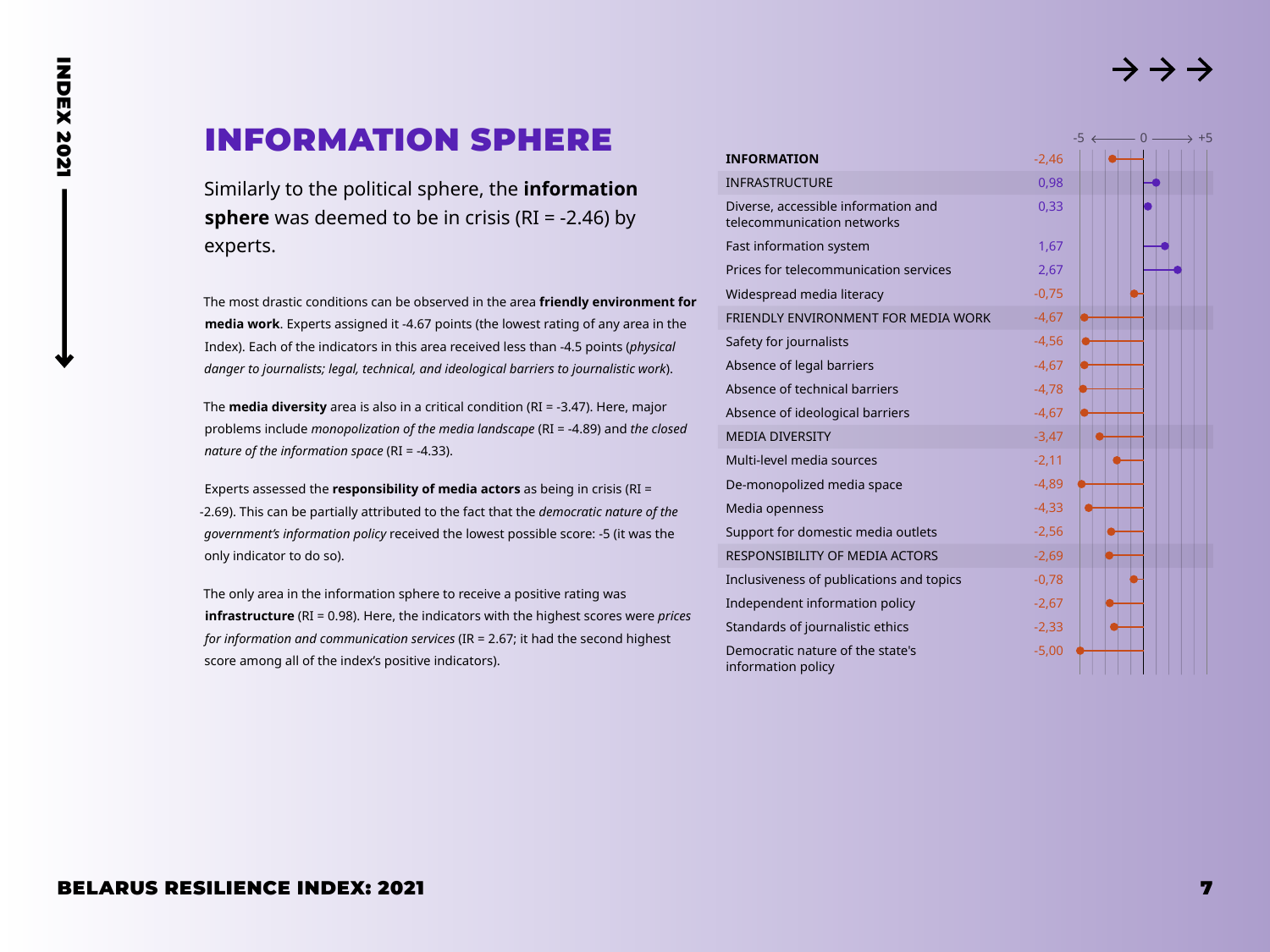$-0 -$ 

# <span id="page-6-0"></span>INFORMATION SPHERE

Similarly to the political sphere, the **information sphere** was deemed to be in crisis (RI = -2.46) by experts.

The most drastic conditions can be observed in the area **friendly environment for media work**. Experts assigned it -4.67 points (the lowest rating of any area in the Index). Each of the indicators in this area received less than -4.5 points (*physical danger to journalists; legal, technical, and ideological barriers to journalistic work*).

The **media diversity** area is also in a critical condition (RI = -3.47). Here, major problems include *monopolization of the media landscape* (RI = -4.89) and *the closed nature of the information space* (RI = -4.33).

Experts assessed the **responsibility of media actors** as being in crisis (RI = -2.69). This can be partially attributed to the fact that the *democratic nature of the government's information policy* received the lowest possible score: -5 (it was the only indicator to do so).

The only area in the information sphere to receive a positive rating was **infrastructure** (RI = 0.98). Here, the indicators with the highest scores were *prices for information and communication services* (IR = 2.67; it had the second highest score among all of the index's positive indicators).

| <b>INFORMATION</b>                                                | $-2,46$ |  |  |
|-------------------------------------------------------------------|---------|--|--|
| INFRASTRUCTURE                                                    | 0,98    |  |  |
| Diverse, accessible information and<br>telecommunication networks | 0,33    |  |  |
| Fast information system                                           | 1,67    |  |  |
| Prices for telecommunication services                             | 2,67    |  |  |
| Widespread media literacy                                         | $-0,75$ |  |  |
| FRIENDLY ENVIRONMENT FOR MEDIA WORK                               | $-4,67$ |  |  |
| Safety for journalists                                            | $-4,56$ |  |  |
| Absence of legal barriers                                         | $-4,67$ |  |  |
| Absence of technical barriers                                     | $-4,78$ |  |  |
| Absence of ideological barriers                                   | $-4,67$ |  |  |
| <b>MEDIA DIVERSITY</b>                                            | $-3,47$ |  |  |
| Multi-level media sources                                         | $-2,11$ |  |  |
| De-monopolized media space                                        | $-4,89$ |  |  |
| Media openness                                                    | $-4,33$ |  |  |
| Support for domestic media outlets                                | $-2,56$ |  |  |
| RESPONSIBILITY OF MEDIA ACTORS                                    | $-2,69$ |  |  |
| Inclusiveness of publications and topics                          | $-0,78$ |  |  |
| Independent information policy                                    | $-2,67$ |  |  |
| Standards of journalistic ethics                                  | $-2,33$ |  |  |
| Democratic nature of the state's<br>information policy            | $-5,00$ |  |  |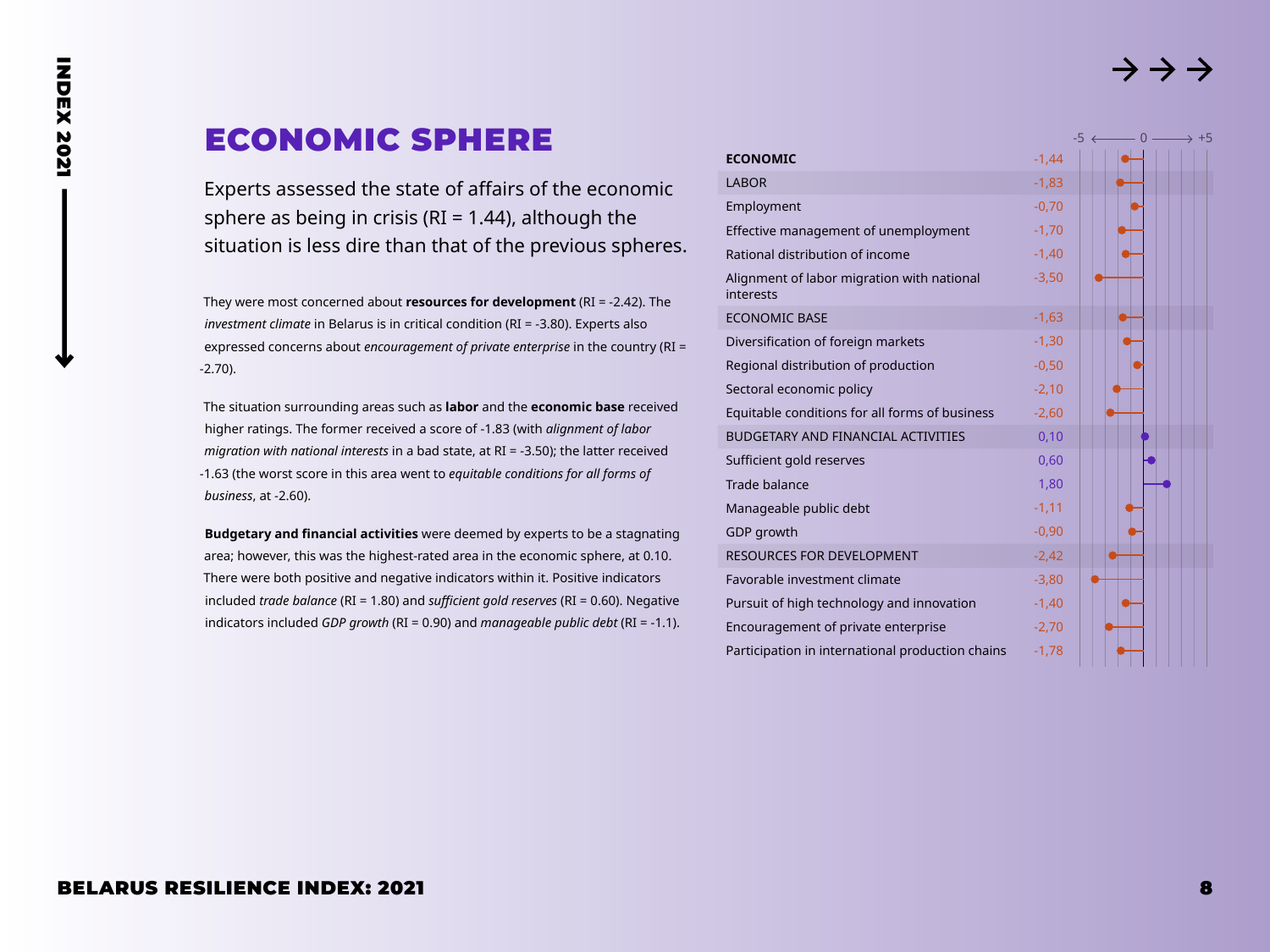# ECONOMIC SPHERE

<span id="page-7-0"></span>**INDEX 2021** INDEX 2021

> Experts assessed the state of affairs of the economic sphere as being in crisis ( $RI = 1.44$ ), although the situation is less dire than that of the previous spheres.

> They were most concerned about **resources for development** (RI = -2.42). The *investment climate* in Belarus is in critical condition (RI = -3.80). Experts also expressed concerns about *encouragement of private enterprise* in the country (RI = -2.70).

The situation surrounding areas such as **labor** and the **economic base** received higher ratings. The former received a score of -1.83 (with *alignment of labor migration with national interests* in a bad state, at RI = -3.50); the latter received -1.63 (the worst score in this area went to *equitable conditions for all forms of business*, at -2.60).

**Budgetary and financial activities** were deemed by experts to be a stagnating area; however, this was the highest-rated area in the economic sphere, at 0.10. There were both positive and negative indicators within it. Positive indicators included *trade balance* (RI = 1.80) and *sufficient gold reserves* (RI = 0.60). Negative indicators included *GDP growth* (RI = 0.90) and *manageable public debt* (RI = -1.1).

|                                                         |         |  |  | → +5 |
|---------------------------------------------------------|---------|--|--|------|
| <b>ECONOMIC</b>                                         | $-1,44$ |  |  |      |
| <b>LABOR</b>                                            | $-1,83$ |  |  |      |
| Employment                                              | $-0,70$ |  |  |      |
| Effective management of unemployment                    | $-1,70$ |  |  |      |
| Rational distribution of income                         | $-1,40$ |  |  |      |
| Alignment of labor migration with national<br>interests | $-3,50$ |  |  |      |
| <b>ECONOMIC BASE</b>                                    | $-1,63$ |  |  |      |
| Diversification of foreign markets                      | $-1,30$ |  |  |      |
| Regional distribution of production                     | $-0,50$ |  |  |      |
| Sectoral economic policy                                | $-2,10$ |  |  |      |
| Equitable conditions for all forms of business          | $-2,60$ |  |  |      |
| <b>BUDGETARY AND FINANCIAL ACTIVITIES</b>               | 0,10    |  |  |      |
| Sufficient gold reserves                                | 0,60    |  |  |      |
| <b>Trade balance</b>                                    | 1,80    |  |  |      |
| Manageable public debt                                  | $-1,11$ |  |  |      |
| GDP growth                                              | $-0,90$ |  |  |      |
| <b>RESOURCES FOR DEVELOPMENT</b>                        | $-2,42$ |  |  |      |
| Favorable investment climate                            | $-3,80$ |  |  |      |
| Pursuit of high technology and innovation               | $-1,40$ |  |  |      |
| Encouragement of private enterprise                     | $-2,70$ |  |  |      |
| Participation in international production chains        | $-1,78$ |  |  |      |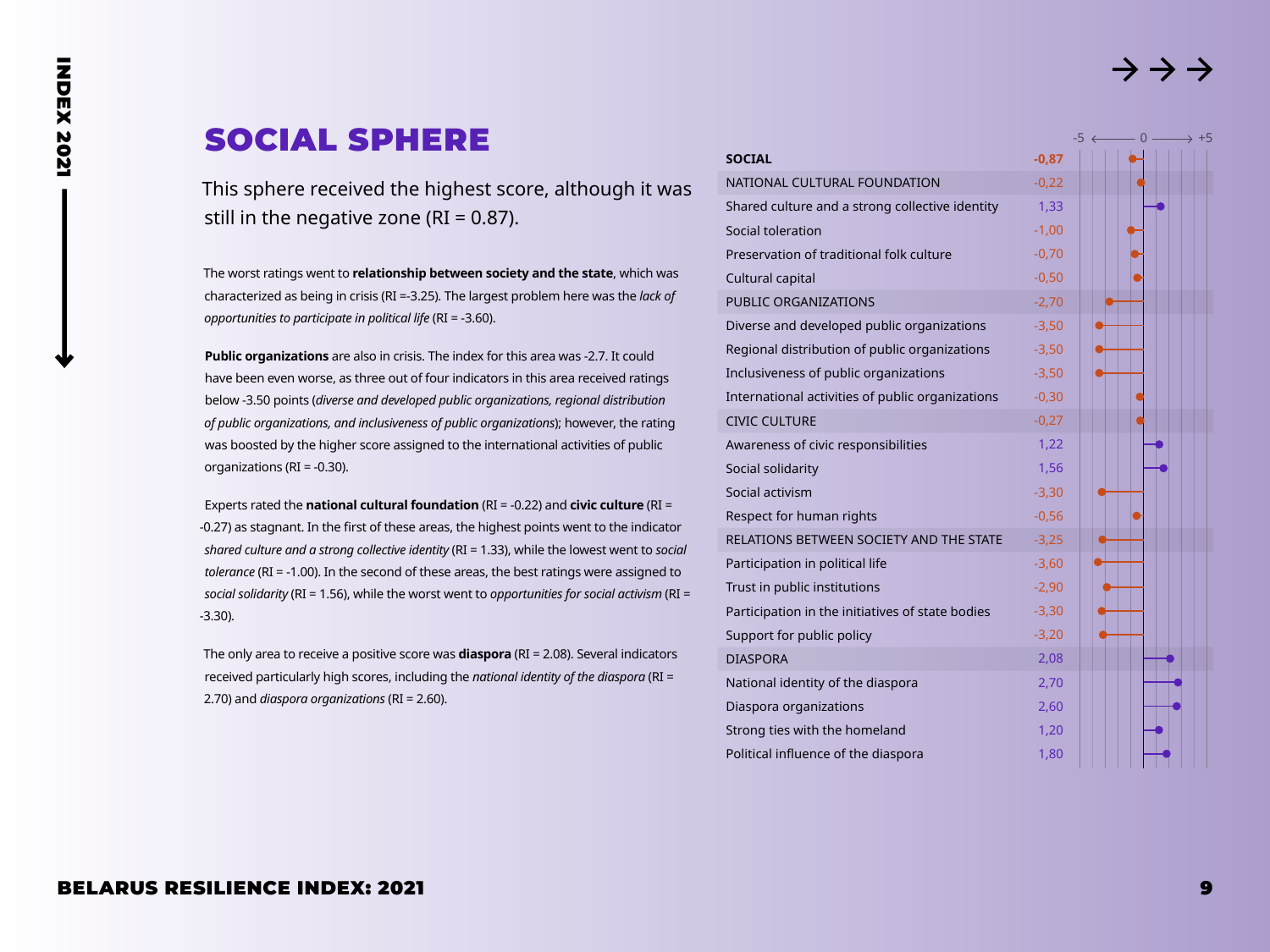$-5 \leftarrow 0 -$ 

# SOCIAL SPHERE

<span id="page-8-0"></span>**INDEX 2021** INDEX 2021

> This sphere received the highest score, although it was still in the negative zone ( $RI = 0.87$ ).

The worst ratings went to **relationship between society and the state**, which was characterized as being in crisis (RI =-3.25). The largest problem here was the *lack of opportunities to participate in political life* (RI = -3.60).

**Public organizations** are also in crisis. The index for this area was -2.7. It could have been even worse, as three out of four indicators in this area received ratings below -3.50 points (*diverse and developed public organizations, regional distribution of public organizations, and inclusiveness of public organizations*); however, the rating was boosted by the higher score assigned to the international activities of public organizations (RI = -0.30).

Experts rated the **national cultural foundation** (RI = -0.22) and **civic culture** (RI = -0.27) as stagnant. In the first of these areas, the highest points went to the indicator *shared culture and a strong collective identity* (RI = 1.33), while the lowest went to *social tolerance* (RI = -1.00). In the second of these areas, the best ratings were assigned to *social solidarity* (RI = 1.56), while the worst went to *opportunities for social activism* (RI = -3.30).

The only area to receive a positive score was **diaspora** (RI = 2.08). Several indicators received particularly high scores, including the *national identity of the diaspora* (RI = 2.70) and *diaspora organizations* (RI = 2.60).

| <b>SOCIAL</b>                                    | $-0,87$ |
|--------------------------------------------------|---------|
| NATIONAL CULTURAL FOUNDATION                     | $-0,22$ |
| Shared culture and a strong collective identity  | 1,33    |
| Social toleration                                | $-1,00$ |
| Preservation of traditional folk culture         | $-0,70$ |
| Cultural capital                                 | $-0,50$ |
| <b>PUBLIC ORGANIZATIONS</b>                      | $-2,70$ |
| Diverse and developed public organizations       | $-3,50$ |
| Regional distribution of public organizations    | $-3,50$ |
| Inclusiveness of public organizations            | $-3,50$ |
| International activities of public organizations | $-0,30$ |
| <b>CIVIC CULTURE</b>                             | $-0,27$ |
| Awareness of civic responsibilities              | 1,22    |
| Social solidarity                                | 1,56    |
| Social activism                                  | $-3,30$ |
| Respect for human rights                         | $-0,56$ |
| RELATIONS BETWEEN SOCIETY AND THE STATE          | $-3,25$ |
| Participation in political life                  | $-3,60$ |
| Trust in public institutions                     | $-2,90$ |
| Participation in the initiatives of state bodies | $-3,30$ |
| Support for public policy                        | $-3,20$ |
| <b>DIASPORA</b>                                  | 2,08    |
| National identity of the diaspora                | 2,70    |
| Diaspora organizations                           | 2,60    |
| Strong ties with the homeland                    | 1,20    |
| Political influence of the diaspora              | 1,80    |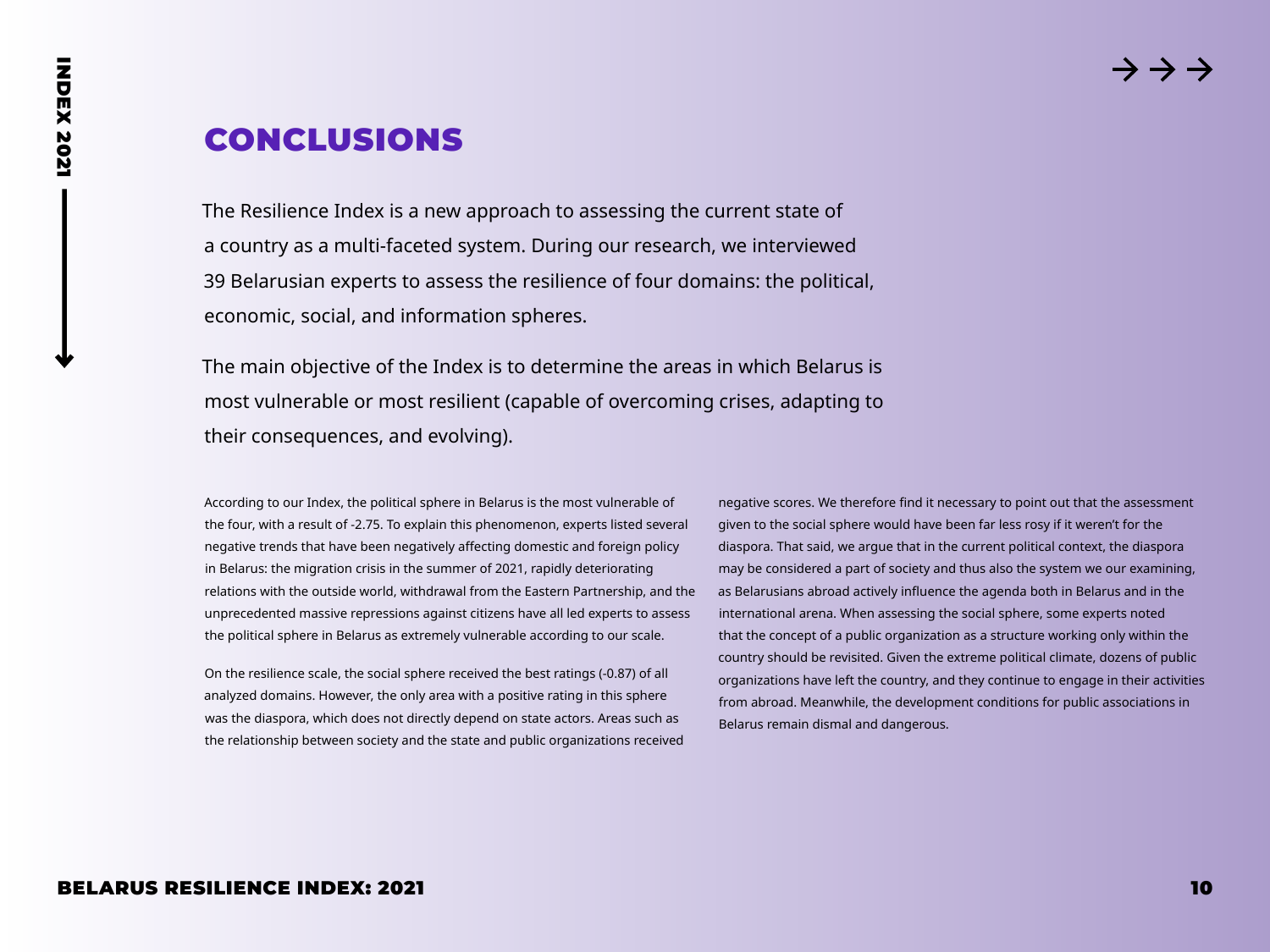# <span id="page-9-0"></span>CONCLUSIONS

The Resilience Index is a new approach to assessing the current state of a country as a multi-faceted system. During our research, we interviewed 39 Belarusian experts to assess the resilience of four domains: the political, economic, social, and information spheres.

The main objective of the Index is to determine the areas in which Belarus is most vulnerable or most resilient (capable of overcoming crises, adapting to their consequences, and evolving).

According to our Index, the political sphere in Belarus is the most vulnerable of the four, with a result of -2.75. To explain this phenomenon, experts listed several negative trends that have been negatively affecting domestic and foreign policy in Belarus: the migration crisis in the summer of 2021, rapidly deteriorating relations with the outside world, withdrawal from the Eastern Partnership, and the unprecedented massive repressions against citizens have all led experts to assess the political sphere in Belarus as extremely vulnerable according to our scale.

On the resilience scale, the social sphere received the best ratings (-0.87) of all analyzed domains. However, the only area with a positive rating in this sphere was the diaspora, which does not directly depend on state actors. Areas such as the relationship between society and the state and public organizations received negative scores. We therefore find it necessary to point out that the assessment given to the social sphere would have been far less rosy if it weren't for the diaspora. That said, we argue that in the current political context, the diaspora may be considered a part of society and thus also the system we our examining, as Belarusians abroad actively influence the agenda both in Belarus and in the international arena. When assessing the social sphere, some experts noted that the concept of a public organization as a structure working only within the country should be revisited. Given the extreme political climate, dozens of public organizations have left the country, and they continue to engage in their activities from abroad. Meanwhile, the development conditions for public associations in Belarus remain dismal and dangerous.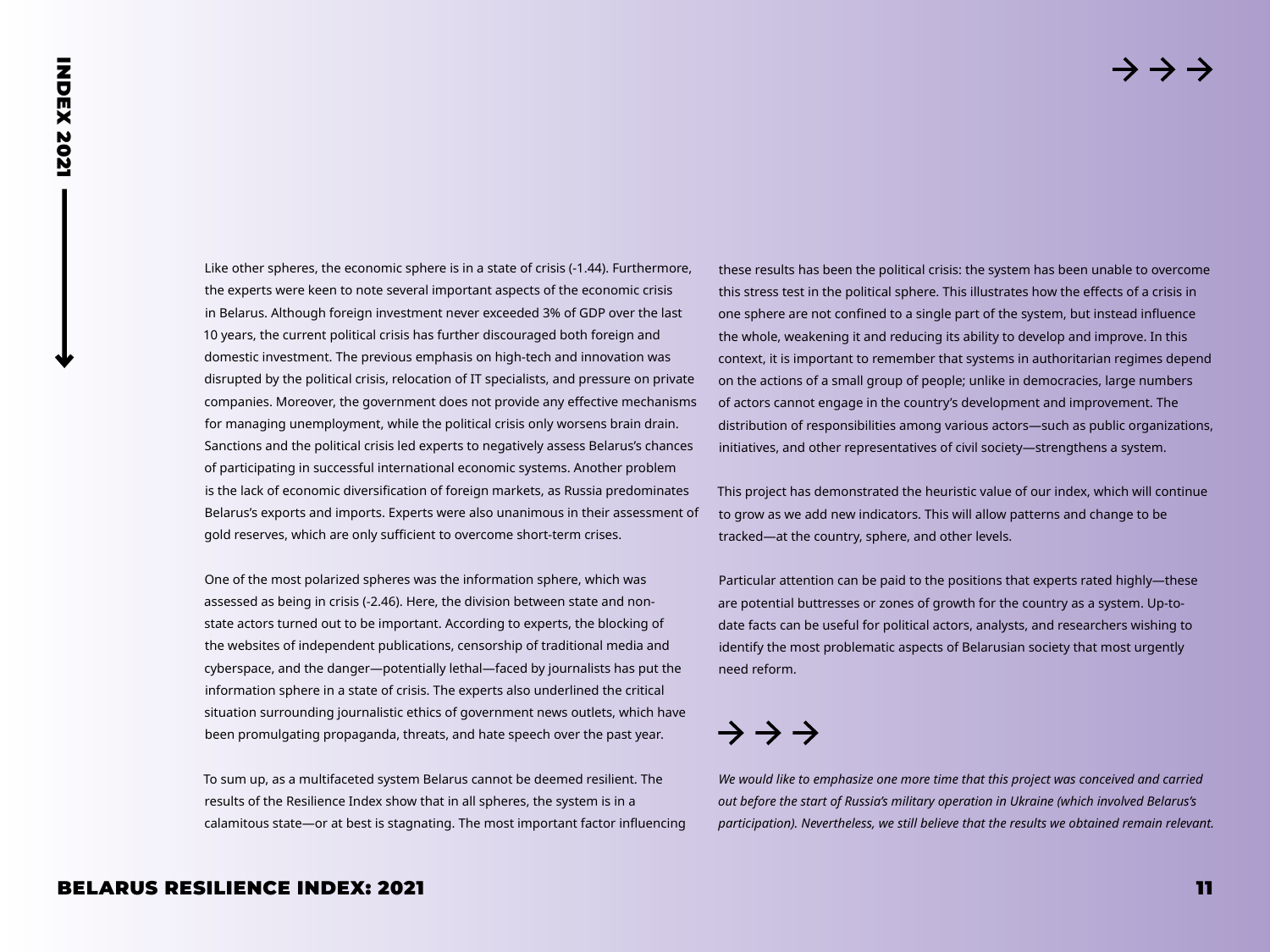Like other spheres, the economic sphere is in a state of crisis (-1.44). Furthermore, the experts were keen to note several important aspects of the economic crisis in Belarus. Although foreign investment never exceeded 3% of GDP over the last 10 years, the current political crisis has further discouraged both foreign and domestic investment. The previous emphasis on high-tech and innovation was disrupted by the political crisis, relocation of IT specialists, and pressure on private companies. Moreover, the government does not provide any effective mechanisms for managing unemployment, while the political crisis only worsens brain drain. Sanctions and the political crisis led experts to negatively assess Belarus's chances of participating in successful international economic systems. Another problem is the lack of economic diversification of foreign markets, as Russia predominates Belarus's exports and imports. Experts were also unanimous in their assessment of gold reserves, which are only sufficient to overcome short-term crises.

One of the most polarized spheres was the information sphere, which was assessed as being in crisis (-2.46). Here, the division between state and nonstate actors turned out to be important. According to experts, the blocking of the websites of independent publications, censorship of traditional media and cyberspace, and the danger—potentially lethal—faced by journalists has put the information sphere in a state of crisis. The experts also underlined the critical situation surrounding journalistic ethics of government news outlets, which have been promulgating propaganda, threats, and hate speech over the past year.

To sum up, as a multifaceted system Belarus cannot be deemed resilient. The results of the Resilience Index show that in all spheres, the system is in a calamitous state—or at best is stagnating. The most important factor influencing these results has been the political crisis: the system has been unable to overcome this stress test in the political sphere. This illustrates how the effects of a crisis in one sphere are not confined to a single part of the system, but instead influence the whole, weakening it and reducing its ability to develop and improve. In this context, it is important to remember that systems in authoritarian regimes depend on the actions of a small group of people; unlike in democracies, large numbers of actors cannot engage in the country's development and improvement. The distribution of responsibilities among various actors—such as public organizations, initiatives, and other representatives of civil society—strengthens a system.

This project has demonstrated the heuristic value of our index, which will continue to grow as we add new indicators. This will allow patterns and change to be tracked—at the country, sphere, and other levels.

Particular attention can be paid to the positions that experts rated highly—these are potential buttresses or zones of growth for the country as a system. Up-todate facts can be useful for political actors, analysts, and researchers wishing to identify the most problematic aspects of Belarusian society that most urgently need reform.

# $\rightarrow$   $\rightarrow$   $\rightarrow$

*We would like to emphasize one more time that this project was conceived and carried out before the start of Russia's military operation in Ukraine (which involved Belarus's participation). Nevertheless, we still believe that the results we obtained remain relevant.*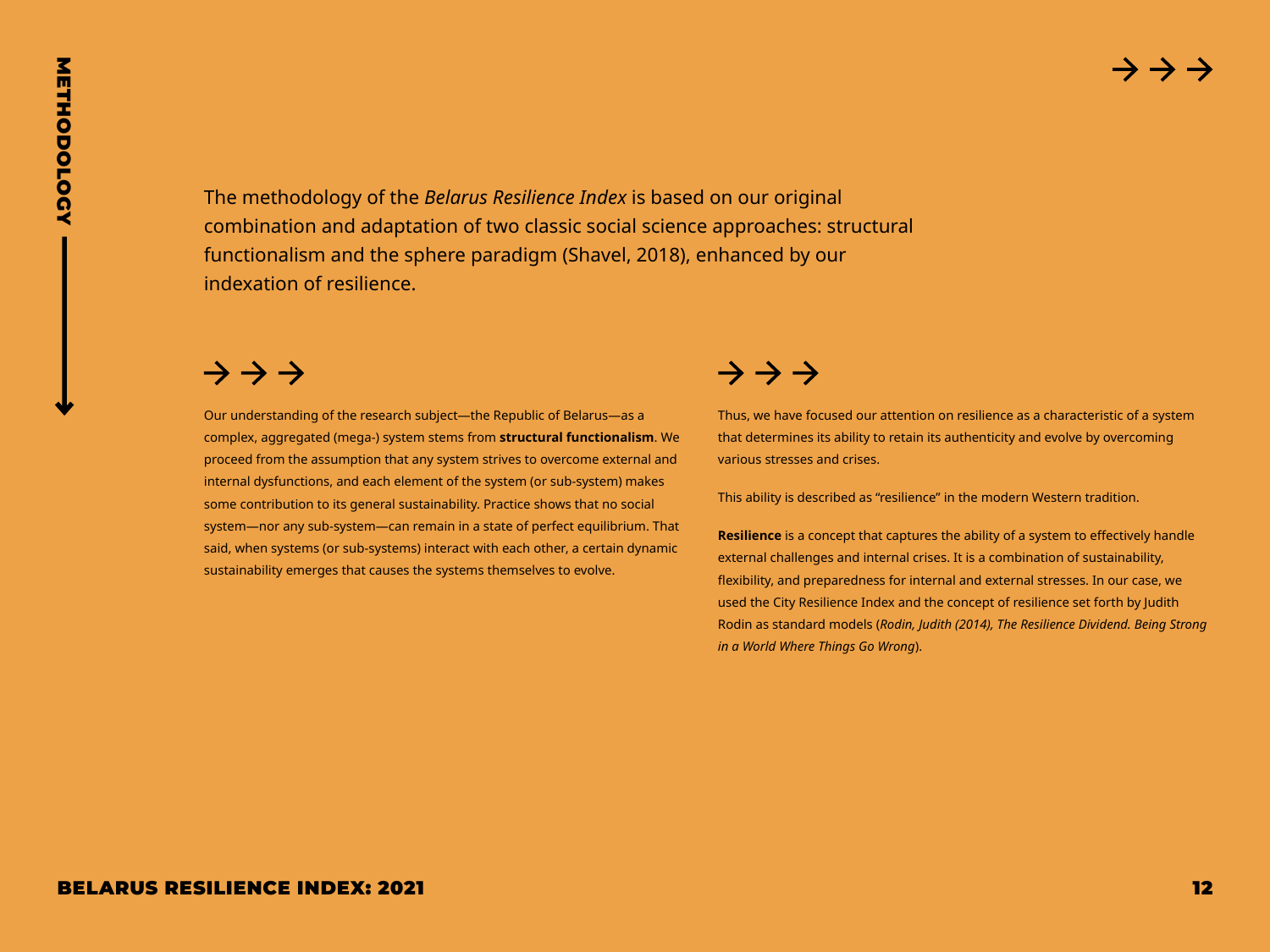<span id="page-11-0"></span>

The methodology of the *Belarus Resilience Index* is based on our original combination and adaptation of two classic social science approaches: structural functionalism and the sphere paradigm (Shavel, 2018), enhanced by our indexation of resilience.

**BELARUS RESILIENCE INDEX: 2021**<br> **BELARUS RESILIENCE INDEX: 2021**<br> **BELARUS RESILIENCE INDEX: 2021**<br> **BELARUS RESILIENCE INDEX: 2021**<br>
<br> **BELARUS RESILIENCE INDEX: 2021**<br>
<br> **BELARUS RESILIENCE INDEX: 2021**<br>
<br> **BELARUS RE** Our understanding of the research subject—the Republic of Belarus—as a complex, aggregated (mega-) system stems from **structural functionalism**. We proceed from the assumption that any system strives to overcome external and internal dysfunctions, and each element of the system (or sub-system) makes some contribution to its general sustainability. Practice shows that no social system—nor any sub-system—can remain in a state of perfect equilibrium. That said, when systems (or sub-systems) interact with each other, a certain dynamic sustainability emerges that causes the systems themselves to evolve.

Thus, we have focused our attention on resilience as a characteristic of a system that determines its ability to retain its authenticity and evolve by overcoming various stresses and crises.

This ability is described as "resilience" in the modern Western tradition.

**Resilience** is a concept that captures the ability of a system to effectively handle external challenges and internal crises. It is a combination of sustainability, flexibility, and preparedness for internal and external stresses. In our case, we used the City Resilience Index and the concept of resilience set forth by Judith Rodin as standard models (*Rodin, Judith (2014), The Resilience Dividend. Being Strong in a World Where Things Go Wrong*).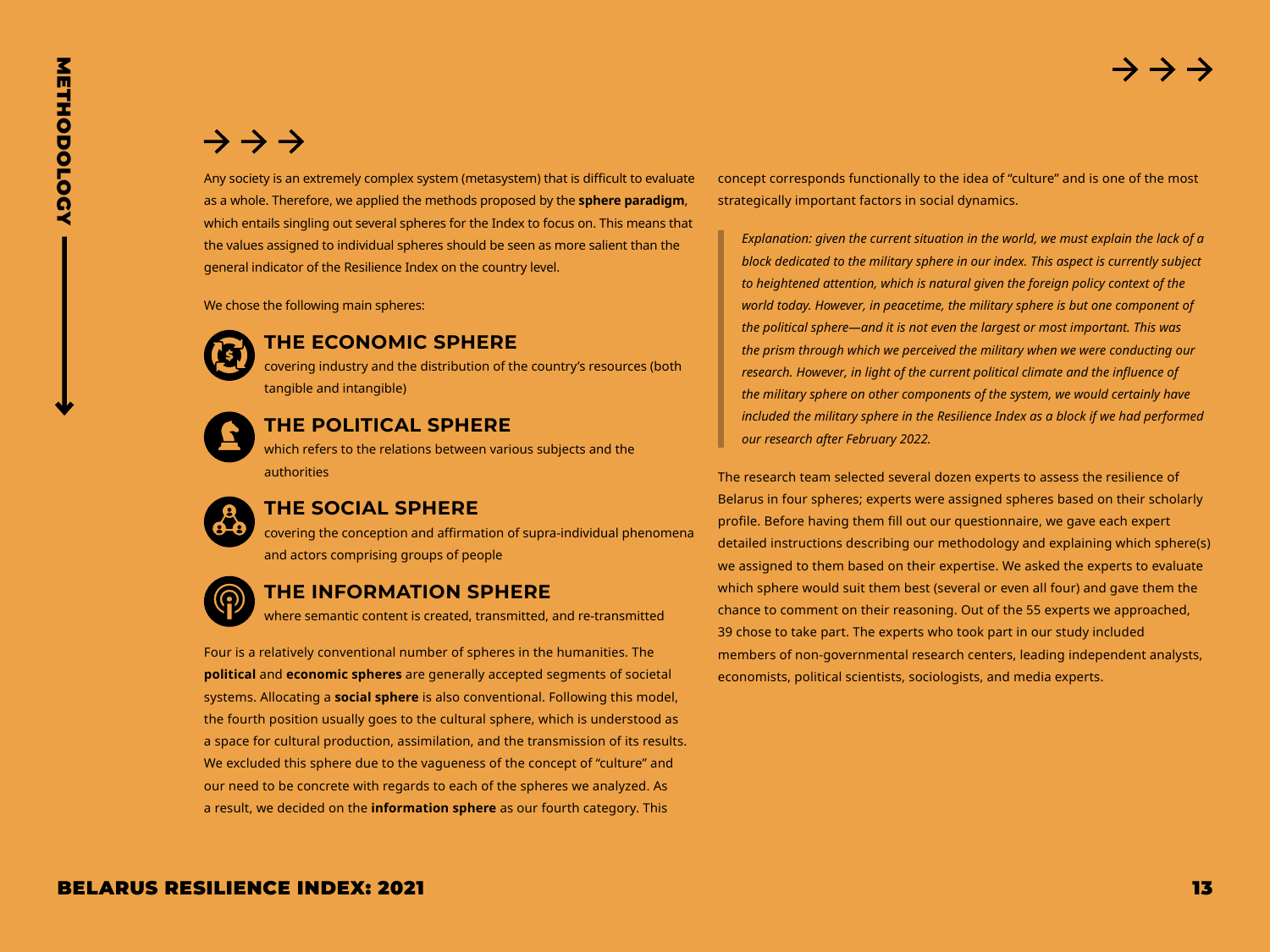# $\rightarrow$   $\rightarrow$   $\rightarrow$

**METHODOLOGY** METHODOLOGY

Any society is an extremely complex system (metasystem) that is difficult to evaluate as a whole. Therefore, we applied the methods proposed by the **sphere paradigm**, which entails singling out several spheres for the Index to focus on. This means that the values assigned to individual spheres should be seen as more salient than the general indicator of the Resilience Index on the country level.

We chose the following main spheres:



#### **THE ECONOMIC SPHERE**

covering industry and the distribution of the country's resources (both tangible and intangible)



#### **THE POLITICAL SPHERE**

which refers to the relations between various subjects and the authorities

#### **THE SOCIAL SPHERE**

covering the conception and affirmation of supra-individual phenomena and actors comprising groups of people



#### **THE INFORMATION SPHERE**

where semantic content is created, transmitted, and re-transmitted

Four is a relatively conventional number of spheres in the humanities. The **political** and **economic spheres** are generally accepted segments of societal systems. Allocating a **social sphere** is also conventional. Following this model, the fourth position usually goes to the cultural sphere, which is understood as a space for cultural production, assimilation, and the transmission of its results. We excluded this sphere due to the vagueness of the concept of "culture" and our need to be concrete with regards to each of the spheres we analyzed. As a result, we decided on the **information sphere** as our fourth category. This

concept corresponds functionally to the idea of "culture" and is one of the most strategically important factors in social dynamics.

*Explanation: given the current situation in the world, we must explain the lack of a block dedicated to the military sphere in our index. This aspect is currently subject to heightened attention, which is natural given the foreign policy context of the world today. However, in peacetime, the military sphere is but one component of the political sphere—and it is not even the largest or most important. This was the prism through which we perceived the military when we were conducting our research. However, in light of the current political climate and the influence of the military sphere on other components of the system, we would certainly have included the military sphere in the Resilience Index as a block if we had performed our research after February 2022.* 

The research team selected several dozen experts to assess the resilience of Belarus in four spheres; experts were assigned spheres based on their scholarly profile. Before having them fill out our questionnaire, we gave each expert detailed instructions describing our methodology and explaining which sphere(s) we assigned to them based on their expertise. We asked the experts to evaluate which sphere would suit them best (several or even all four) and gave them the chance to comment on their reasoning. Out of the 55 experts we approached, 39 chose to take part. The experts who took part in our study included members of non-governmental research centers, leading independent analysts, economists, political scientists, sociologists, and media experts.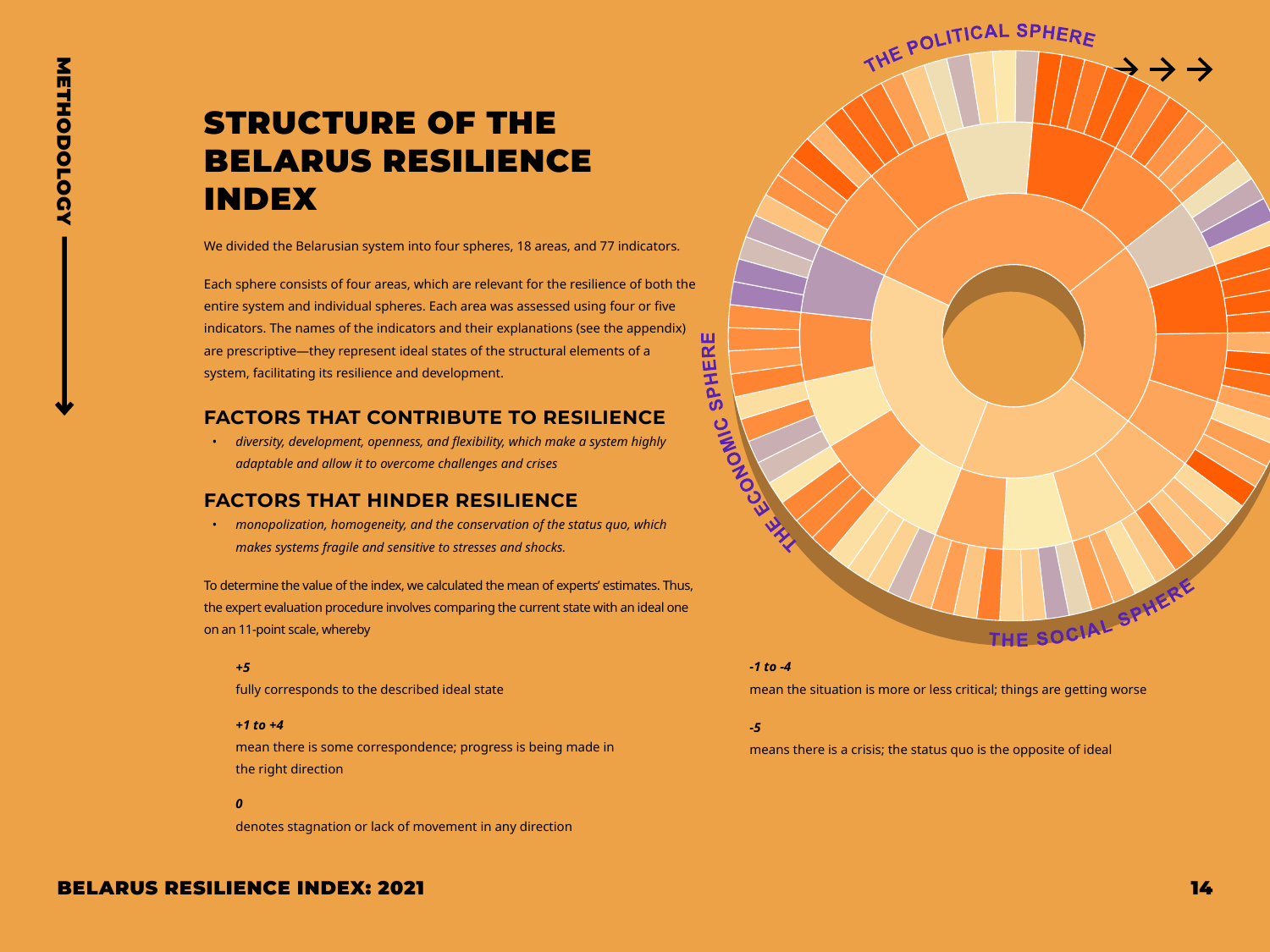# <span id="page-13-0"></span>STRUCTURE OF THE BELARUS RESILIENCE INDEX

We divided the Belarusian system into four spheres, 18 areas, and 77 indicators.

Each sphere consists of four areas, which are relevant for the resilience of both the entire system and individual spheres. Each area was assessed using four or five indicators. The names of the indicators and their explanations (see the appendix) are prescriptive—they represent ideal states of the structural elements of a system, facilitating its resilience and development.

#### **FACTORS THAT CONTRIBUTE TO RESILIENCE**

*• diversity, development, openness, and flexibility, which make a system highly adaptable and allow it to overcome challenges and crises*

#### **FACTORS THAT HINDER RESILIENCE**

*• monopolization, homogeneity, and the conservation of the status quo, which makes systems fragile and sensitive to stresses and shocks.*

To determine the value of the index, we calculated the mean of experts' estimates. Thus, the expert evaluation procedure involves comparing the current state with an ideal one on an 11-point scale, whereby

#### *+5*

fully corresponds to the described ideal state

#### *+1 to +4*

mean there is some correspondence; progress is being made in the right direction

#### *0*

denotes stagnation or lack of movement in any direction

# THE POLITICAL SPHERE SPHERE **SIMOLDONO** THE SOCIAL SPHER

#### *-1 to -4*

mean the situation is more or less critical; things are getting worse

#### *-5*

means there is a crisis; the status quo is the opposite of ideal

#### BELARUS RESILIENCE INDEX: 2021 14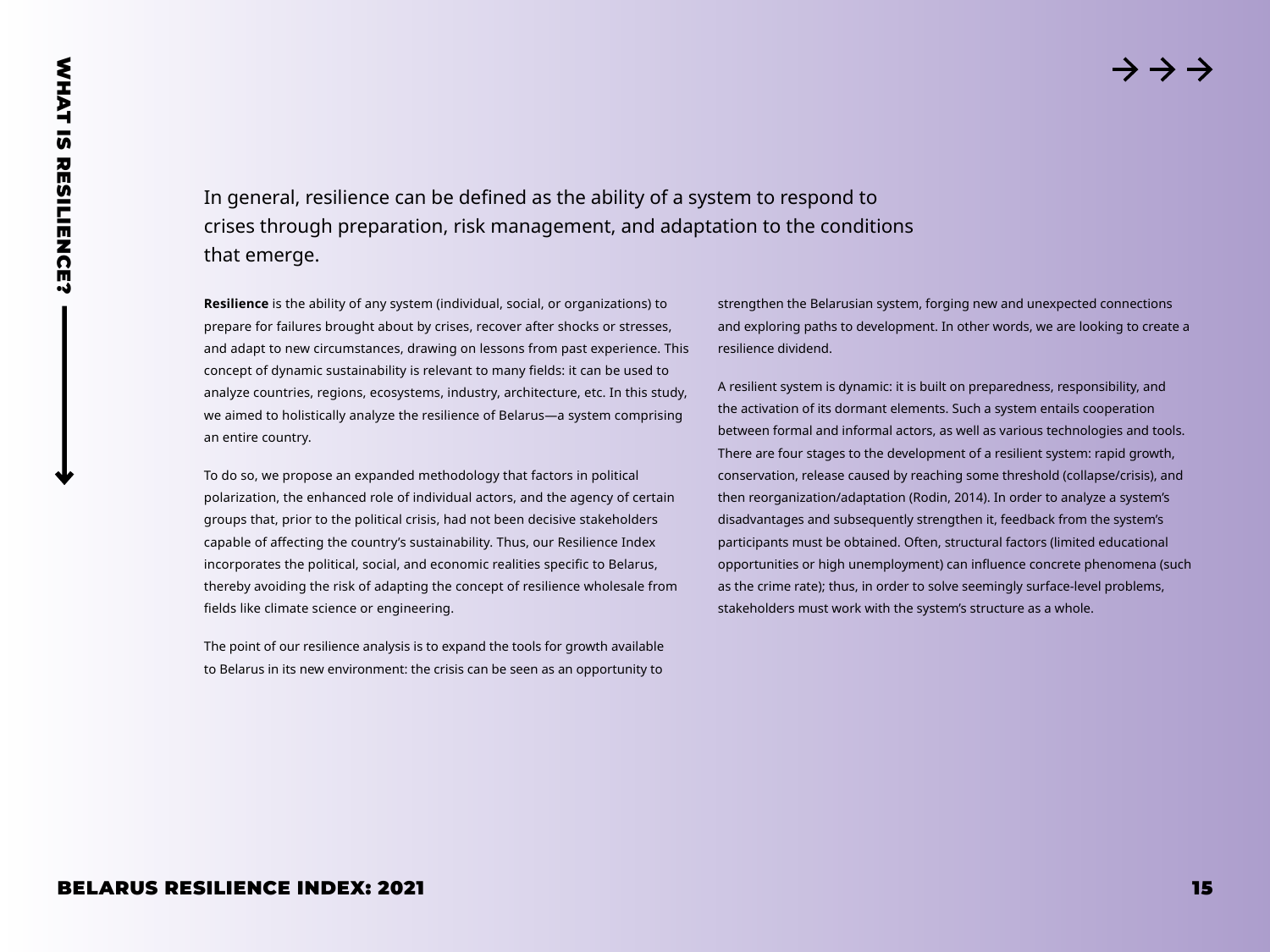In general, resilience can be defined as the ability of a system to respond to crises through preparation, risk management, and adaptation to the conditions that emerge.

**Resilience** is the ability of any system (individual, social, or organizations) to prepare for failures brought about by crises, recover after shocks or stresses, and adapt to new circumstances, drawing on lessons from past experience. This concept of dynamic sustainability is relevant to many fields: it can be used to analyze countries, regions, ecosystems, industry, architecture, etc. In this study, we aimed to holistically analyze the resilience of Belarus—a system comprising an entire country.

To do so, we propose an expanded methodology that factors in political polarization, the enhanced role of individual actors, and the agency of certain groups that, prior to the political crisis, had not been decisive stakeholders capable of affecting the country's sustainability. Thus, our Resilience Index incorporates the political, social, and economic realities specific to Belarus, thereby avoiding the risk of adapting the concept of resilience wholesale from fields like climate science or engineering.

The point of our resilience analysis is to expand the tools for growth available to Belarus in its new environment: the crisis can be seen as an opportunity to strengthen the Belarusian system, forging new and unexpected connections and exploring paths to development. In other words, we are looking to create a resilience dividend.

<span id="page-14-0"></span>**BELARUS RESILIENCE CON DEFINITION ASSESSED AT A SURFACE IN A SURFACE IN A SURFACE INTO A SURFACE INTO A SURFACE INTO A SURFACE INTO A SURFACE IN A SURFACE INTO A SURFACE IN A SURFACE INTO A SURFACE INTO A SURFACE INTO A** A resilient system is dynamic: it is built on preparedness, responsibility, and the activation of its dormant elements. Such a system entails cooperation between formal and informal actors, as well as various technologies and tools. There are four stages to the development of a resilient system: rapid growth, conservation, release caused by reaching some threshold (collapse/crisis), and then reorganization/adaptation (Rodin, 2014). In order to analyze a system's disadvantages and subsequently strengthen it, feedback from the system's participants must be obtained. Often, structural factors (limited educational opportunities or high unemployment) can influence concrete phenomena (such as the crime rate); thus, in order to solve seemingly surface-level problems, stakeholders must work with the system's structure as a whole.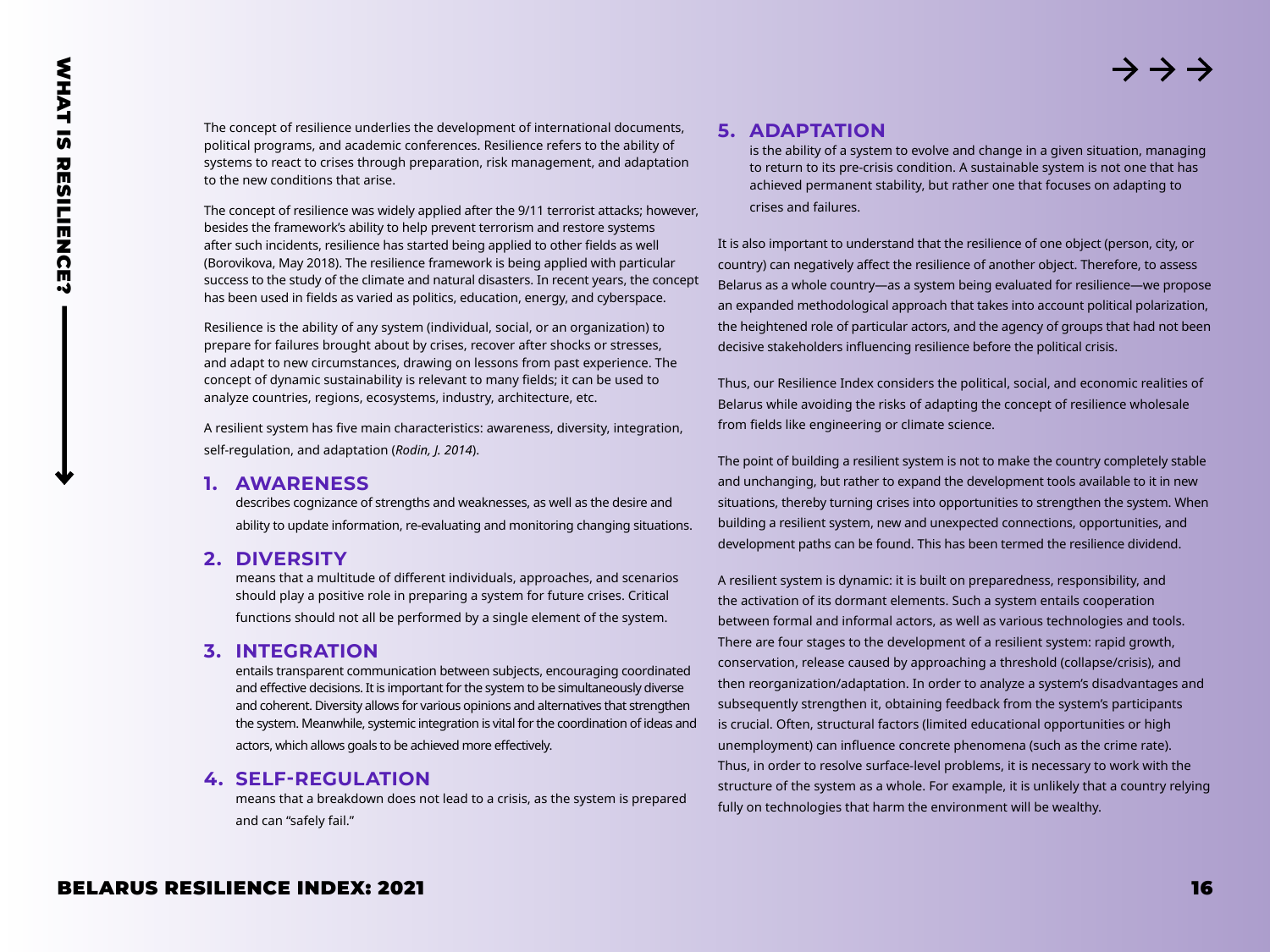The concept of resilience underlies the development of international documents, political programs, and academic conferences. Resilience refers to the ability of systems to react to crises through preparation, risk management, and adaptation to the new conditions that arise.

The concept of resilience was widely applied after the 9/11 terrorist attacks; however, besides the framework's ability to help prevent terrorism and restore systems after such incidents, resilience has started being applied to other fields as well (Borovikova, May 2018). The resilience framework is being applied with particular success to the study of the climate and natural disasters. In recent years, the concept has been used in fields as varied as politics, education, energy, and cyberspace.

Resilience is the ability of any system (individual, social, or an organization) to prepare for failures brought about by crises, recover after shocks or stresses, and adapt to new circumstances, drawing on lessons from past experience. The concept of dynamic sustainability is relevant to many fields; it can be used to analyze countries, regions, ecosystems, industry, architecture, etc.

A resilient system has five main characteristics: awareness, diversity, integration, self-regulation, and adaptation (*Rodin, J. 2014*).

#### **1. AWARENESS**

describes cognizance of strengths and weaknesses, as well as the desire and ability to update information, re-evaluating and monitoring changing situations.

#### **2. DIVERSITY**

means that a multitude of different individuals, approaches, and scenarios should play a positive role in preparing a system for future crises. Critical functions should not all be performed by a single element of the system.

#### **3. INTEGRATION**

entails transparent communication between subjects, encouraging coordinated and effective decisions. It is important for the system to be simultaneously diverse and coherent. Diversity allows for various opinions and alternatives that strengthen the system. Meanwhile, systemic integration is vital for the coordination of ideas and actors, which allows goals to be achieved more effectively.

#### **4. SELF-REGULATION**

means that a breakdown does not lead to a crisis, as the system is prepared and can "safely fail."

#### **5. ADAPTATION**

is the ability of a system to evolve and change in a given situation, managing to return to its pre-crisis condition. A sustainable system is not one that has achieved permanent stability, but rather one that focuses on adapting to crises and failures.

It is also important to understand that the resilience of one object (person, city, or country) can negatively affect the resilience of another object. Therefore, to assess Belarus as a whole country—as a system being evaluated for resilience—we propose an expanded methodological approach that takes into account political polarization, the heightened role of particular actors, and the agency of groups that had not been decisive stakeholders influencing resilience before the political crisis.

Thus, our Resilience Index considers the political, social, and economic realities of Belarus while avoiding the risks of adapting the concept of resilience wholesale from fields like engineering or climate science.

The point of building a resilient system is not to make the country completely stable and unchanging, but rather to expand the development tools available to it in new situations, thereby turning crises into opportunities to strengthen the system. When building a resilient system, new and unexpected connections, opportunities, and development paths can be found. This has been termed the resilience dividend.

A resilient system is dynamic: it is built on preparedness, responsibility, and the activation of its dormant elements. Such a system entails cooperation between formal and informal actors, as well as various technologies and tools. There are four stages to the development of a resilient system: rapid growth, conservation, release caused by approaching a threshold (collapse/crisis), and then reorganization/adaptation. In order to analyze a system's disadvantages and subsequently strengthen it, obtaining feedback from the system's participants is crucial. Often, structural factors (limited educational opportunities or high unemployment) can influence concrete phenomena (such as the crime rate). Thus, in order to resolve surface-level problems, it is necessary to work with the structure of the system as a whole. For example, it is unlikely that a country relying fully on technologies that harm the environment will be wealthy.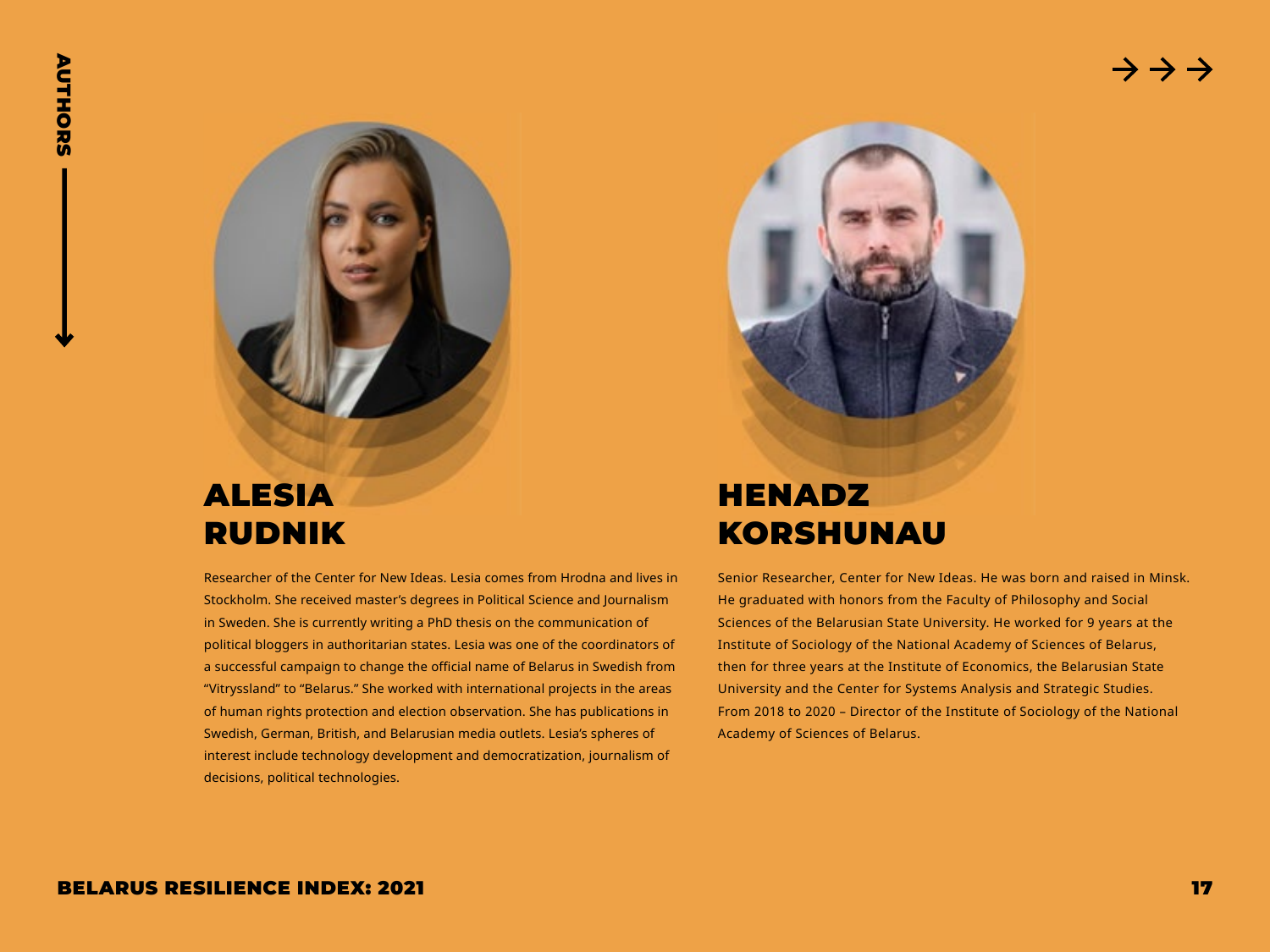

# ALESIA RUDNIK

Researcher of the Center for New Ideas. Lesia comes from Hrodna and lives in Stockholm. She received master's degrees in Political Science and Journalism in Sweden. She is currently writing a PhD thesis on the communication of political bloggers in authoritarian states. Lesia was one of the coordinators of a successful campaign to change the official name of Belarus in Swedish from "Vitryssland" to "Belarus." She worked with international projects in the areas of human rights protection and election observation. She has publications in Swedish, German, British, and Belarusian media outlets. Lesia's spheres of interest include technology development and democratization, journalism of decisions, political technologies.

<span id="page-16-0"></span>

# **HENADZ** KORSHUNAU

Senior Researcher, Center for New Ideas. He was born and raised in Minsk. He graduated with honors from the Faculty of Philosophy and Social Sciences of the Belarusian State University. He worked for 9 years at the Institute of Sociology of the National Academy of Sciences of Belarus, then for three years at the Institute of Economics, the Belarusian State University and the Center for Systems Analysis and Strategic Studies. From 2018 to 2020 – Director of the Institute of Sociology of the National Academy of Sciences of Belarus.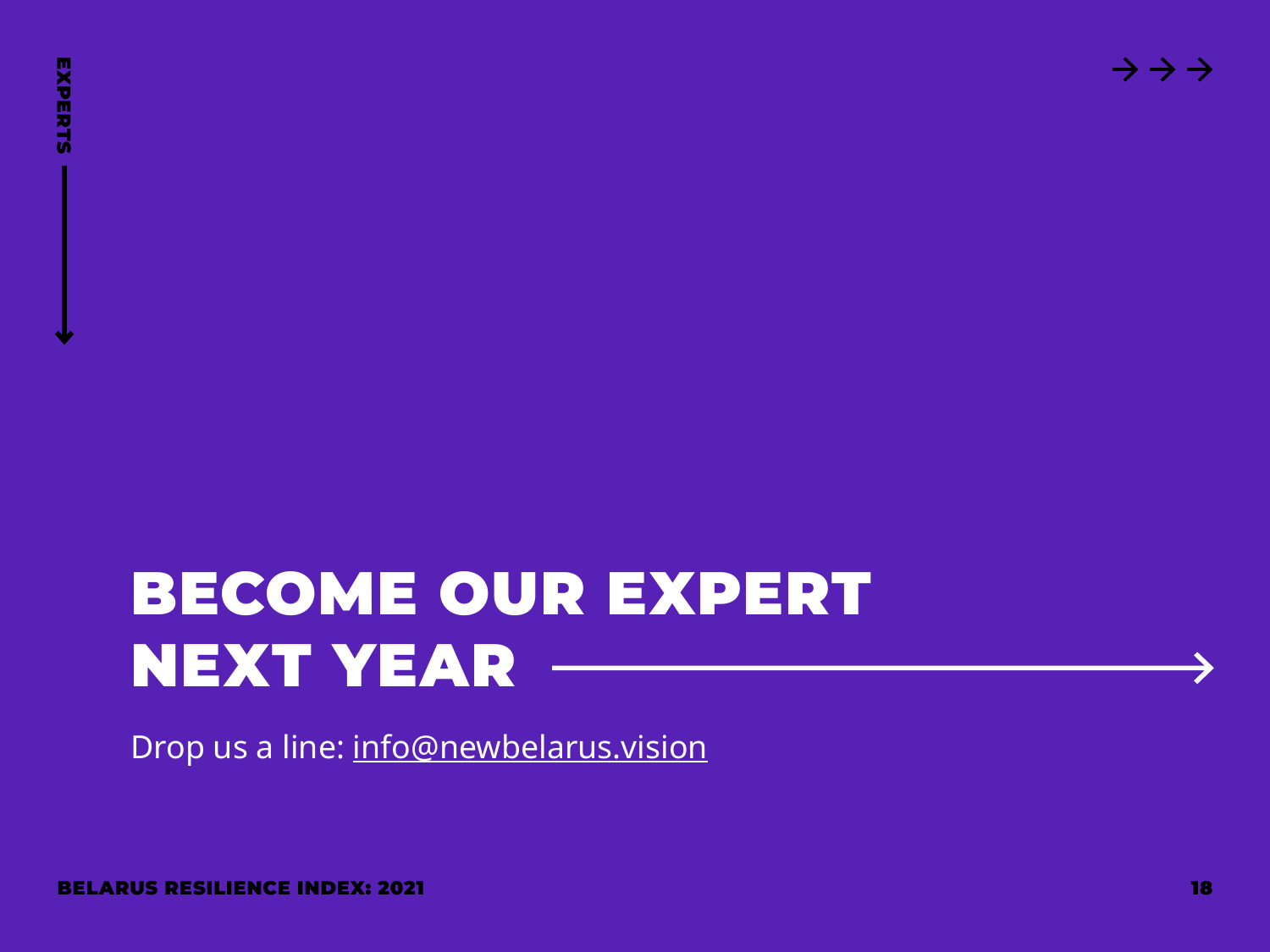# <span id="page-17-0"></span>BECOME OUR EXPERT<br>
BECOME OUR EXPERT<br>
Drop us a line: info@newbelarus.vision<br> **BECOME OUR EXPERT**<br>
Drop us a line: info@newbelarus.vision<br> **BELARUS RESILIENCE INDEX: 2021** BECOME OUR EXPERT NEXT YEAR

Drop us a line: [info@newbelarus.vision](mailto:info@newbelarus.vision)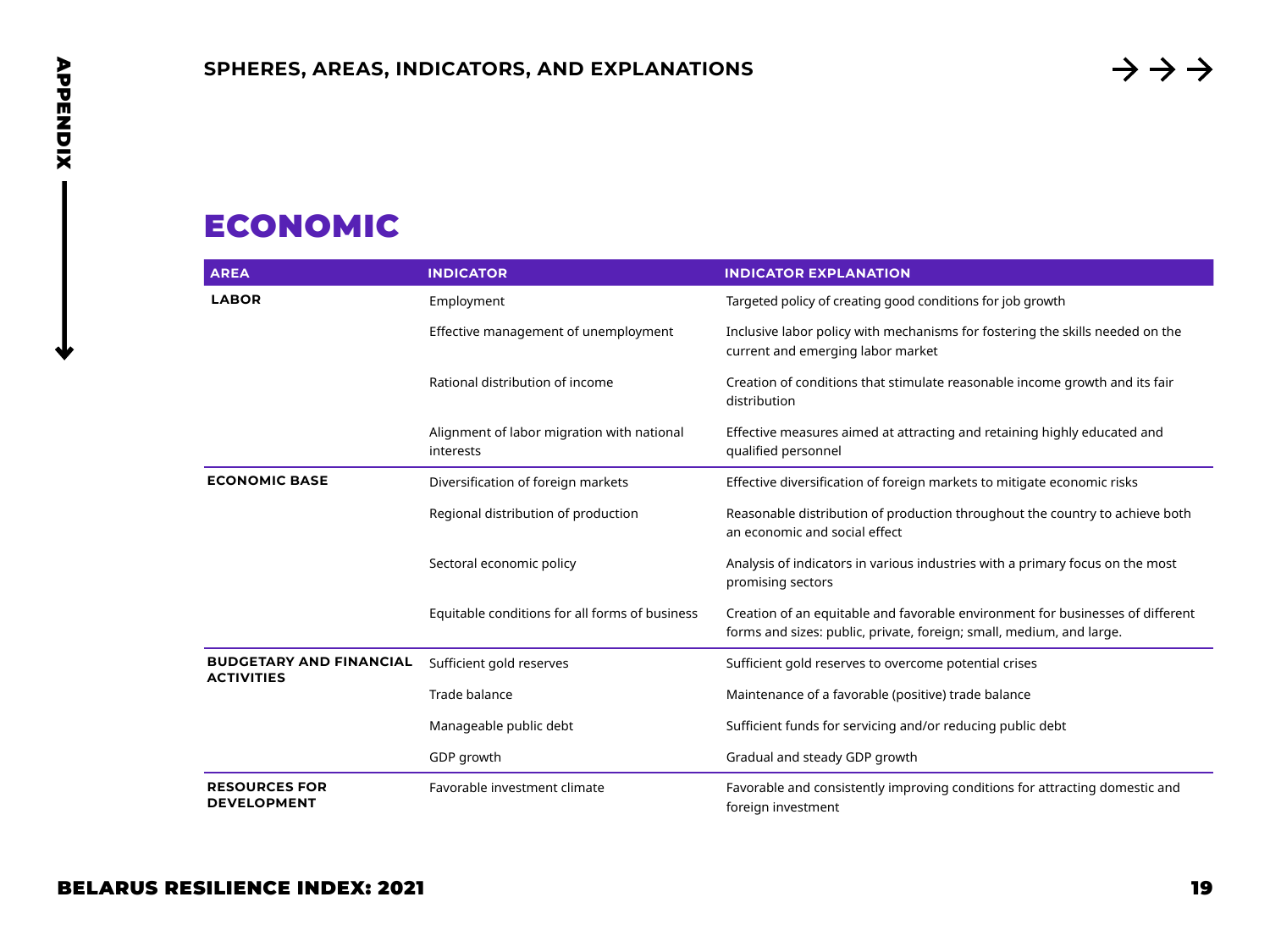# ECONOMIC

<span id="page-18-0"></span>

| <b>ECONOMIC</b><br><b>AREA</b>                      | <b>INDICATOR</b>                                        | <b>INDICATOR EXPLANATION</b>                                                                                                                           |
|-----------------------------------------------------|---------------------------------------------------------|--------------------------------------------------------------------------------------------------------------------------------------------------------|
| <b>LABOR</b>                                        | Employment                                              | Targeted policy of creating good conditions for job growth                                                                                             |
|                                                     | Effective management of unemployment                    | Inclusive labor policy with mechanisms for fostering the skills needed on the<br>current and emerging labor market                                     |
|                                                     | Rational distribution of income                         | Creation of conditions that stimulate reasonable income growth and its fair<br>distribution                                                            |
|                                                     | Alignment of labor migration with national<br>interests | Effective measures aimed at attracting and retaining highly educated and<br>qualified personnel                                                        |
| <b>ECONOMIC BASE</b>                                | Diversification of foreign markets                      | Effective diversification of foreign markets to mitigate economic risks                                                                                |
|                                                     | Regional distribution of production                     | Reasonable distribution of production throughout the country to achieve both<br>an economic and social effect                                          |
|                                                     | Sectoral economic policy                                | Analysis of indicators in various industries with a primary focus on the most<br>promising sectors                                                     |
|                                                     | Equitable conditions for all forms of business          | Creation of an equitable and favorable environment for businesses of different<br>forms and sizes: public, private, foreign; small, medium, and large. |
| <b>BUDGETARY AND FINANCIAL</b><br><b>ACTIVITIES</b> | Sufficient gold reserves                                | Sufficient gold reserves to overcome potential crises                                                                                                  |
|                                                     | Trade balance                                           | Maintenance of a favorable (positive) trade balance                                                                                                    |
|                                                     | Manageable public debt                                  | Sufficient funds for servicing and/or reducing public debt                                                                                             |
|                                                     | GDP growth                                              | Gradual and steady GDP growth                                                                                                                          |
| <b>RESOURCES FOR</b><br><b>DEVELOPMENT</b>          | Favorable investment climate                            | Favorable and consistently improving conditions for attracting domestic and<br>foreign investment                                                      |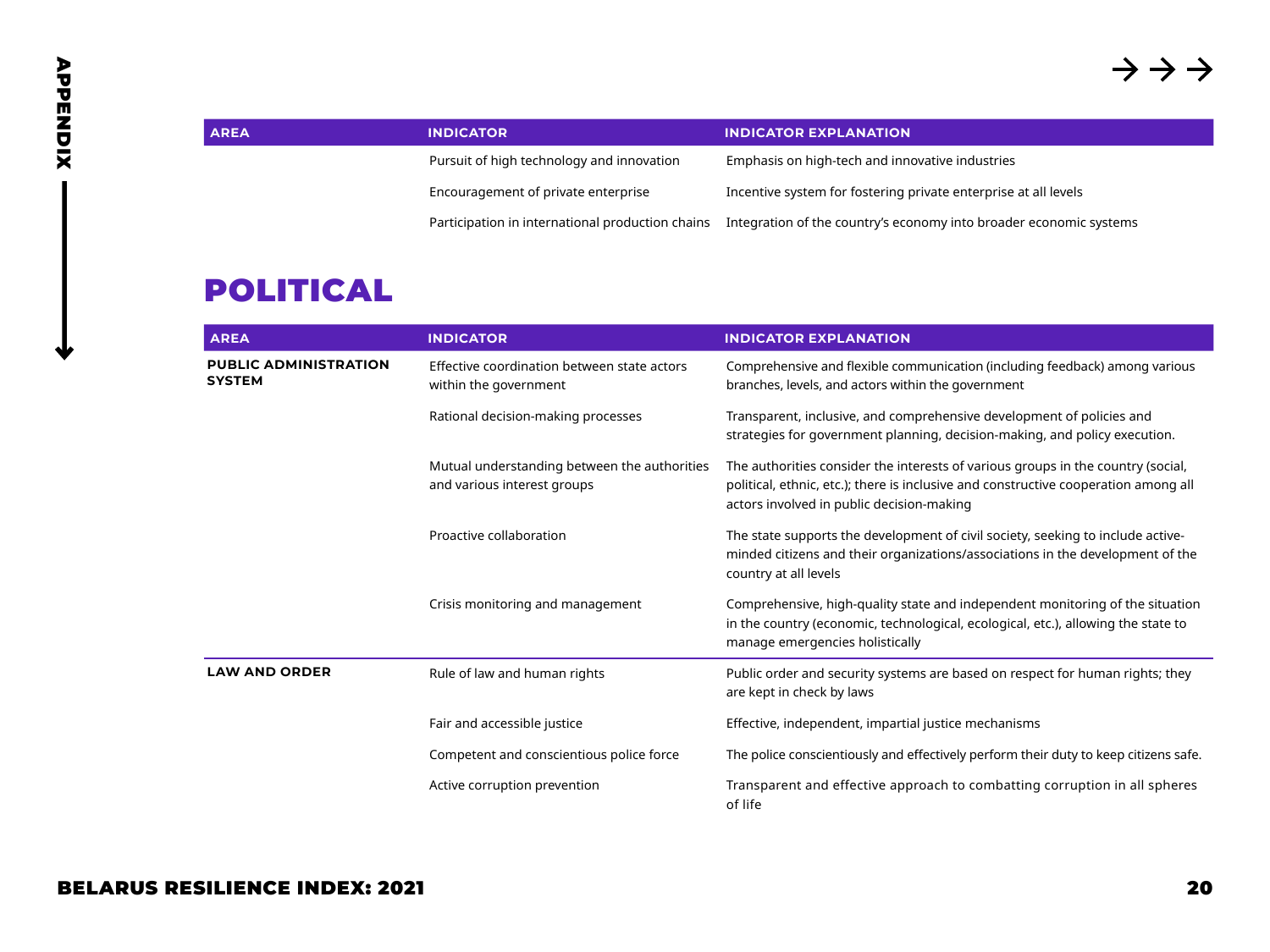| <b>AREA</b> | <b>INDICATOR</b>                                 | <b>INDICATOR EXPLANATION</b>                                       |
|-------------|--------------------------------------------------|--------------------------------------------------------------------|
|             | Pursuit of high technology and innovation        | Emphasis on high-tech and innovative industries                    |
|             | Encouragement of private enterprise              | Incentive system for fostering private enterprise at all levels    |
|             | Participation in international production chains | Integration of the country's economy into broader economic systems |

# POLITICAL

| <b>AREA</b>                                   | <b>INDICATOR</b>                                                            | <b>INDICATOR EXPLANATION</b>                                                                                                                                                                                         |
|-----------------------------------------------|-----------------------------------------------------------------------------|----------------------------------------------------------------------------------------------------------------------------------------------------------------------------------------------------------------------|
| <b>PUBLIC ADMINISTRATION</b><br><b>SYSTEM</b> | Effective coordination between state actors<br>within the government        | Comprehensive and flexible communication (including feedback) among various<br>branches, levels, and actors within the government                                                                                    |
|                                               | Rational decision-making processes                                          | Transparent, inclusive, and comprehensive development of policies and<br>strategies for government planning, decision-making, and policy execution.                                                                  |
|                                               | Mutual understanding between the authorities<br>and various interest groups | The authorities consider the interests of various groups in the country (social,<br>political, ethnic, etc.); there is inclusive and constructive cooperation among all<br>actors involved in public decision-making |
|                                               | Proactive collaboration                                                     | The state supports the development of civil society, seeking to include active-<br>minded citizens and their organizations/associations in the development of the<br>country at all levels                           |
|                                               | Crisis monitoring and management                                            | Comprehensive, high-quality state and independent monitoring of the situation<br>in the country (economic, technological, ecological, etc.), allowing the state to<br>manage emergencies holistically                |
| <b>LAW AND ORDER</b>                          | Rule of law and human rights                                                | Public order and security systems are based on respect for human rights; they<br>are kept in check by laws                                                                                                           |
|                                               | Fair and accessible justice                                                 | Effective, independent, impartial justice mechanisms                                                                                                                                                                 |
|                                               | Competent and conscientious police force                                    | The police conscientiously and effectively perform their duty to keep citizens safe.                                                                                                                                 |
|                                               | Active corruption prevention                                                | Transparent and effective approach to combatting corruption in all spheres<br>of life                                                                                                                                |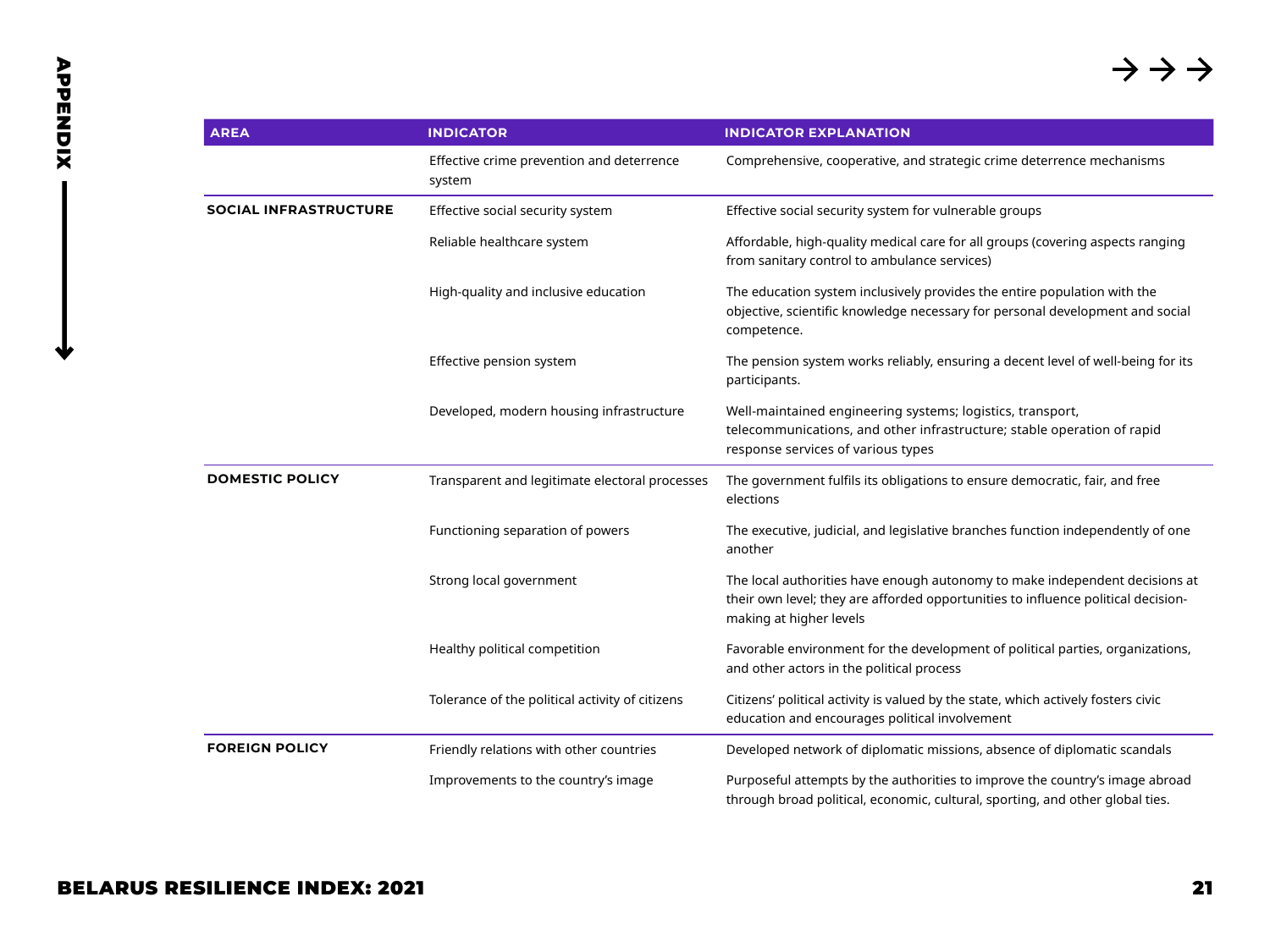| <b>AREA</b>                  | <b>INDICATOR</b>                                    | <b>INDICATOR EXPLANATION</b>                                                                                                                                                                |
|------------------------------|-----------------------------------------------------|---------------------------------------------------------------------------------------------------------------------------------------------------------------------------------------------|
|                              | Effective crime prevention and deterrence<br>system | Comprehensive, cooperative, and strategic crime deterrence mechanisms                                                                                                                       |
| <b>SOCIAL INFRASTRUCTURE</b> | Effective social security system                    | Effective social security system for vulnerable groups                                                                                                                                      |
|                              | Reliable healthcare system                          | Affordable, high-quality medical care for all groups (covering aspects ranging<br>from sanitary control to ambulance services)                                                              |
|                              | High-quality and inclusive education                | The education system inclusively provides the entire population with the<br>objective, scientific knowledge necessary for personal development and social<br>competence.                    |
|                              | Effective pension system                            | The pension system works reliably, ensuring a decent level of well-being for its<br>participants.                                                                                           |
|                              | Developed, modern housing infrastructure            | Well-maintained engineering systems; logistics, transport,<br>telecommunications, and other infrastructure; stable operation of rapid<br>response services of various types                 |
| <b>DOMESTIC POLICY</b>       | Transparent and legitimate electoral processes      | The government fulfils its obligations to ensure democratic, fair, and free<br>elections                                                                                                    |
|                              | Functioning separation of powers                    | The executive, judicial, and legislative branches function independently of one<br>another                                                                                                  |
|                              | Strong local government                             | The local authorities have enough autonomy to make independent decisions at<br>their own level; they are afforded opportunities to influence political decision-<br>making at higher levels |
|                              | Healthy political competition                       | Favorable environment for the development of political parties, organizations,<br>and other actors in the political process                                                                 |
|                              | Tolerance of the political activity of citizens     | Citizens' political activity is valued by the state, which actively fosters civic<br>education and encourages political involvement                                                         |
| <b>FOREIGN POLICY</b>        | Friendly relations with other countries             | Developed network of diplomatic missions, absence of diplomatic scandals                                                                                                                    |
|                              | Improvements to the country's image                 | Purposeful attempts by the authorities to improve the country's image abroad<br>through broad political, economic, cultural, sporting, and other global ties.                               |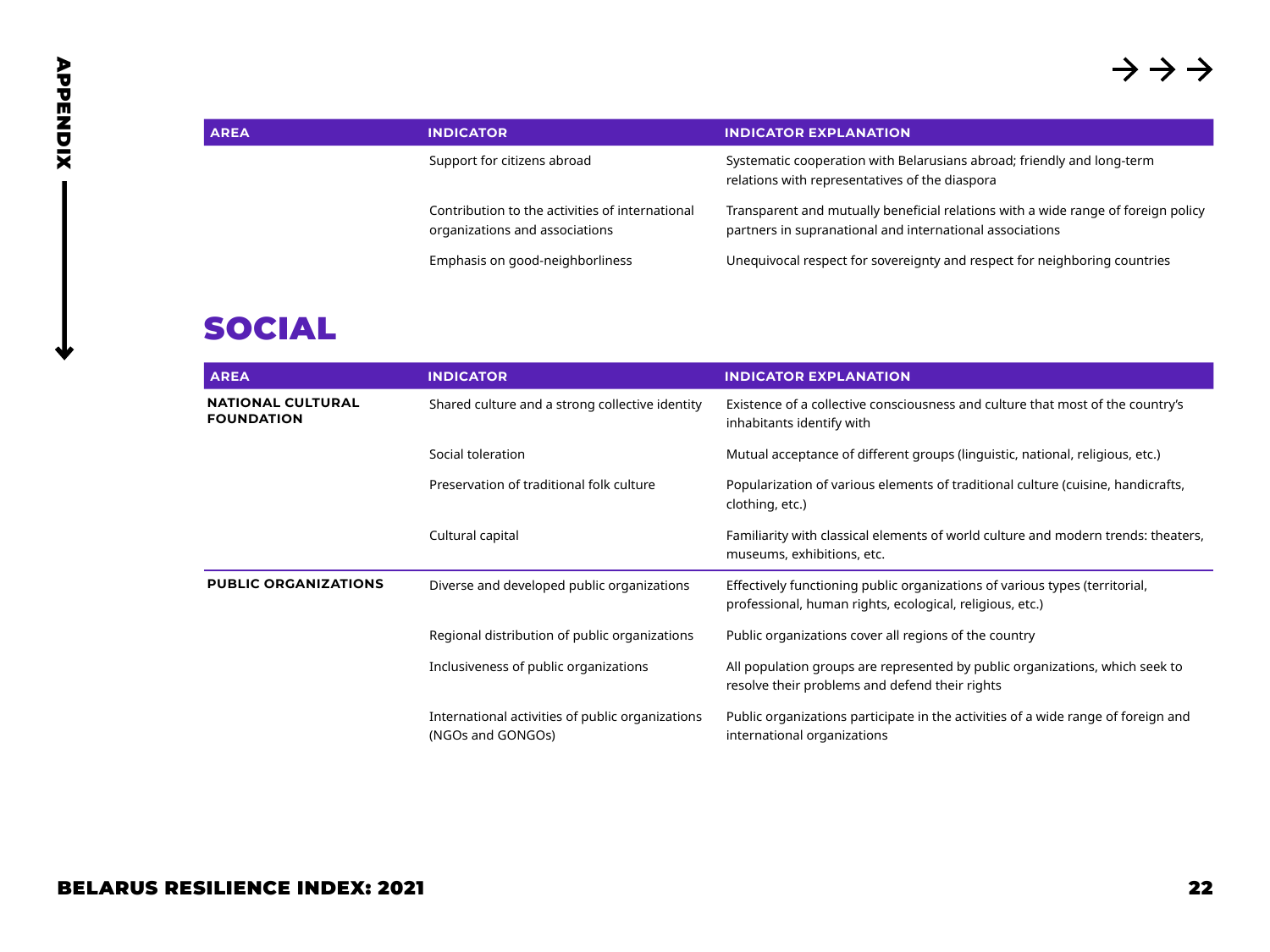| <b>AREA</b> | <b>INDICATOR</b>                                                                  | <b>INDICATOR EXPLANATION</b>                                                                                                                  |
|-------------|-----------------------------------------------------------------------------------|-----------------------------------------------------------------------------------------------------------------------------------------------|
|             | Support for citizens abroad                                                       | Systematic cooperation with Belarusians abroad; friendly and long-term<br>relations with representatives of the diaspora                      |
|             | Contribution to the activities of international<br>organizations and associations | Transparent and mutually beneficial relations with a wide range of foreign policy<br>partners in supranational and international associations |
|             | Emphasis on good-neighborliness                                                   | Unequivocal respect for sovereignty and respect for neighboring countries                                                                     |

# SOCIAL

| <b>AREA</b>                                   | <b>INDICATOR</b>                                                      | <b>INDICATOR EXPLANATION</b>                                                                                                            |
|-----------------------------------------------|-----------------------------------------------------------------------|-----------------------------------------------------------------------------------------------------------------------------------------|
| <b>NATIONAL CULTURAL</b><br><b>FOUNDATION</b> | Shared culture and a strong collective identity                       | Existence of a collective consciousness and culture that most of the country's<br>inhabitants identify with                             |
|                                               | Social toleration                                                     | Mutual acceptance of different groups (linguistic, national, religious, etc.)                                                           |
|                                               | Preservation of traditional folk culture                              | Popularization of various elements of traditional culture (cuisine, handicrafts,<br>clothing, etc.)                                     |
|                                               | Cultural capital                                                      | Familiarity with classical elements of world culture and modern trends: theaters,<br>museums, exhibitions, etc.                         |
| <b>PUBLIC ORGANIZATIONS</b>                   | Diverse and developed public organizations                            | Effectively functioning public organizations of various types (territorial,<br>professional, human rights, ecological, religious, etc.) |
|                                               | Regional distribution of public organizations                         | Public organizations cover all regions of the country                                                                                   |
|                                               | Inclusiveness of public organizations                                 | All population groups are represented by public organizations, which seek to<br>resolve their problems and defend their rights          |
|                                               | International activities of public organizations<br>(NGOs and GONGOs) | Public organizations participate in the activities of a wide range of foreign and<br>international organizations                        |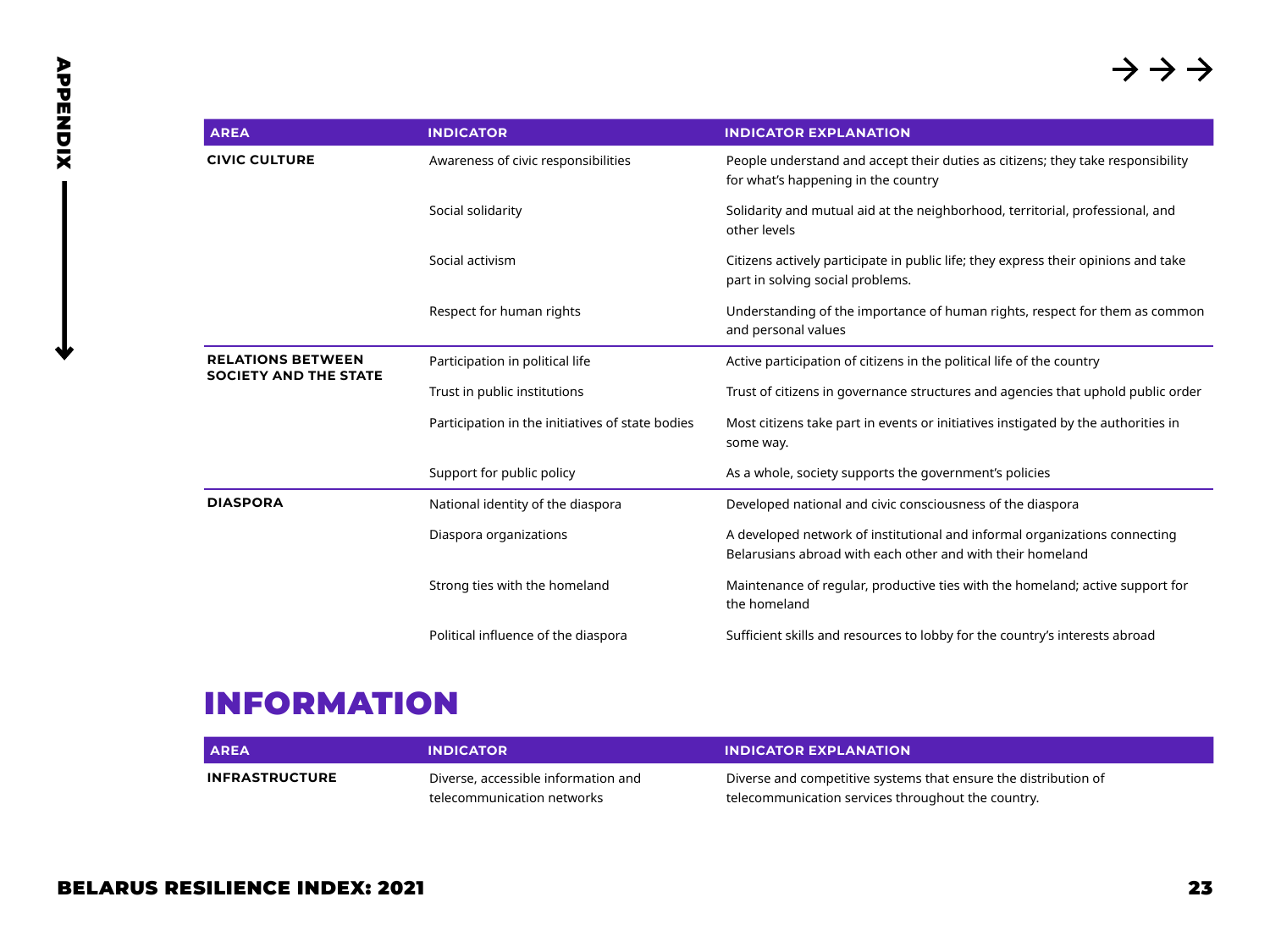| <b>AREA</b>                                              | <b>INDICATOR</b>                                 | <b>INDICATOR EXPLANATION</b>                                                                                                             |
|----------------------------------------------------------|--------------------------------------------------|------------------------------------------------------------------------------------------------------------------------------------------|
| <b>CIVIC CULTURE</b>                                     | Awareness of civic responsibilities              | People understand and accept their duties as citizens; they take responsibility<br>for what's happening in the country                   |
|                                                          | Social solidarity                                | Solidarity and mutual aid at the neighborhood, territorial, professional, and<br>other levels                                            |
|                                                          | Social activism                                  | Citizens actively participate in public life; they express their opinions and take<br>part in solving social problems.                   |
|                                                          | Respect for human rights                         | Understanding of the importance of human rights, respect for them as common<br>and personal values                                       |
| <b>RELATIONS BETWEEN</b><br><b>SOCIETY AND THE STATE</b> | Participation in political life                  | Active participation of citizens in the political life of the country                                                                    |
|                                                          | Trust in public institutions                     | Trust of citizens in governance structures and agencies that uphold public order                                                         |
|                                                          | Participation in the initiatives of state bodies | Most citizens take part in events or initiatives instigated by the authorities in<br>some way.                                           |
|                                                          | Support for public policy                        | As a whole, society supports the government's policies                                                                                   |
| <b>DIASPORA</b>                                          | National identity of the diaspora                | Developed national and civic consciousness of the diaspora                                                                               |
|                                                          | Diaspora organizations                           | A developed network of institutional and informal organizations connecting<br>Belarusians abroad with each other and with their homeland |
|                                                          | Strong ties with the homeland                    | Maintenance of regular, productive ties with the homeland; active support for<br>the homeland                                            |
|                                                          | Political influence of the diaspora              | Sufficient skills and resources to lobby for the country's interests abroad                                                              |

# INFORMATION

| <b>AREA</b>           | <b>INDICATOR</b>                    | <b>INDICATOR EXPLANATION</b>                                    |
|-----------------------|-------------------------------------|-----------------------------------------------------------------|
| <b>INFRASTRUCTURE</b> | Diverse, accessible information and | Diverse and competitive systems that ensure the distribution of |
|                       | telecommunication networks          | telecommunication services throughout the country.              |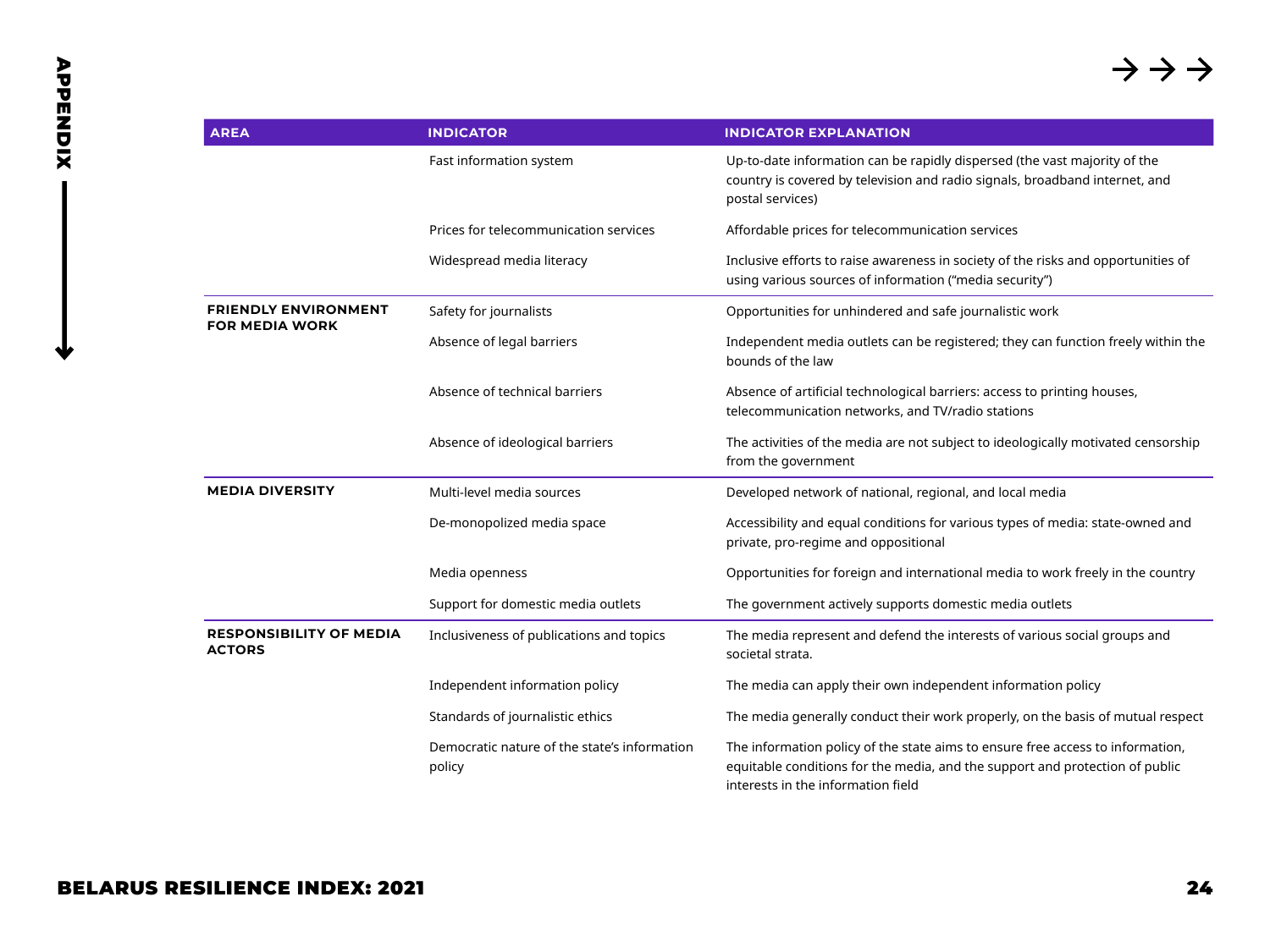| <b>AREA</b>                                          | <b>INDICATOR</b>                                       | <b>INDICATOR EXPLANATION</b>                                                                                                                                                                         |
|------------------------------------------------------|--------------------------------------------------------|------------------------------------------------------------------------------------------------------------------------------------------------------------------------------------------------------|
|                                                      | Fast information system                                | Up-to-date information can be rapidly dispersed (the vast majority of the<br>country is covered by television and radio signals, broadband internet, and<br>postal services)                         |
|                                                      | Prices for telecommunication services                  | Affordable prices for telecommunication services                                                                                                                                                     |
|                                                      | Widespread media literacy                              | Inclusive efforts to raise awareness in society of the risks and opportunities of<br>using various sources of information ("media security")                                                         |
| <b>FRIENDLY ENVIRONMENT</b><br><b>FOR MEDIA WORK</b> | Safety for journalists                                 | Opportunities for unhindered and safe journalistic work                                                                                                                                              |
|                                                      | Absence of legal barriers                              | Independent media outlets can be registered; they can function freely within the<br>bounds of the law                                                                                                |
|                                                      | Absence of technical barriers                          | Absence of artificial technological barriers: access to printing houses,<br>telecommunication networks, and TV/radio stations                                                                        |
|                                                      | Absence of ideological barriers                        | The activities of the media are not subject to ideologically motivated censorship<br>from the government                                                                                             |
| <b>MEDIA DIVERSITY</b>                               | Multi-level media sources                              | Developed network of national, regional, and local media                                                                                                                                             |
|                                                      | De-monopolized media space                             | Accessibility and equal conditions for various types of media: state-owned and<br>private, pro-regime and oppositional                                                                               |
|                                                      | Media openness                                         | Opportunities for foreign and international media to work freely in the country                                                                                                                      |
|                                                      | Support for domestic media outlets                     | The government actively supports domestic media outlets                                                                                                                                              |
| <b>RESPONSIBILITY OF MEDIA</b><br><b>ACTORS</b>      | Inclusiveness of publications and topics               | The media represent and defend the interests of various social groups and<br>societal strata.                                                                                                        |
|                                                      | Independent information policy                         | The media can apply their own independent information policy                                                                                                                                         |
|                                                      | Standards of journalistic ethics                       | The media generally conduct their work properly, on the basis of mutual respect                                                                                                                      |
|                                                      | Democratic nature of the state's information<br>policy | The information policy of the state aims to ensure free access to information,<br>equitable conditions for the media, and the support and protection of public<br>interests in the information field |